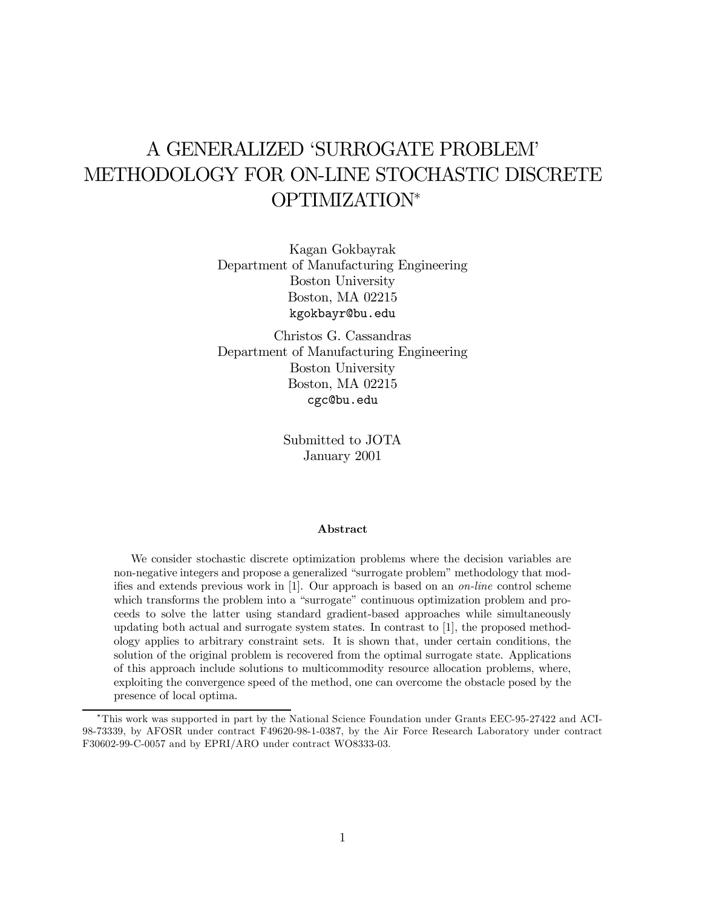# A GENERALIZED 'SURROGATE PROBLEM' METHODOLOGY FOR ON-LINE STOCHASTIC DISCRETE OPTIMIZATION\*

Kagan Gokbayrak Department of Manufacturing Engineering Boston University Boston, MA 02215 kgokbayr@bu.edu

Christos G. Cassandras Department of Manufacturing Engineering Boston University Boston, MA 02215 cgc@bu.edu

> Submitted to JOTA January 2001

#### Abstract

We consider stochastic discrete optimization problems where the decision variables are non-negative integers and propose a generalized "surrogate problem" methodology that modifies and extends previous work in  $[1]$ . Our approach is based on an *on-line* control scheme which transforms the problem into a "surrogate" continuous optimization problem and proceeds to solve the latter using standard gradient-based approaches while simultaneously updating both actual and surrogate system states. In contrast to [1], the proposed methodology applies to arbitrary constraint sets. It is shown that, under certain conditions, the solution of the original problem is recovered from the optimal surrogate state. Applications of this approach include solutions to multicommodity resource allocation problems, where, exploiting the convergence speed of the method, one can overcome the obstacle posed by the presence of local optima.

<sup>¤</sup>This work was supported in part by the National Science Foundation under Grants EEC-95-27422 and ACI-98-73339, by AFOSR under contract F49620-98-1-0387, by the Air Force Research Laboratory under contract F30602-99-C-0057 and by EPRI/ARO under contract WO8333-03.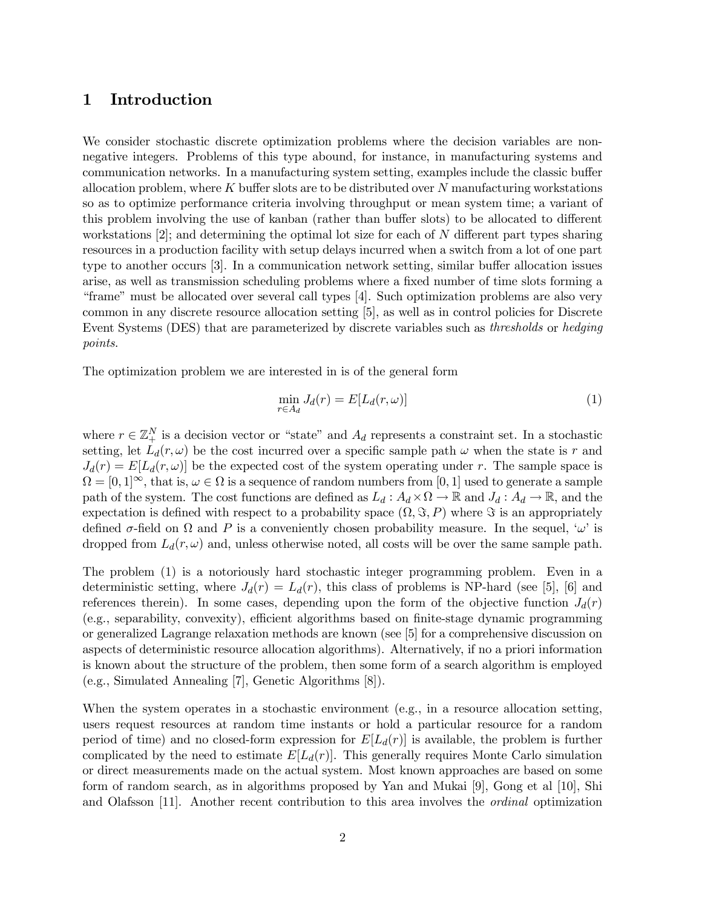# 1 Introduction

We consider stochastic discrete optimization problems where the decision variables are nonnegative integers. Problems of this type abound, for instance, in manufacturing systems and communication networks. In a manufacturing system setting, examples include the classic buffer allocation problem, where  $K$  buffer slots are to be distributed over  $N$  manufacturing workstations so as to optimize performance criteria involving throughput or mean system time; a variant of this problem involving the use of kanban (rather than buffer slots) to be allocated to different workstations  $[2]$ ; and determining the optimal lot size for each of N different part types sharing resources in a production facility with setup delays incurred when a switch from a lot of one part type to another occurs  $[3]$ . In a communication network setting, similar buffer allocation issues arise, as well as transmission scheduling problems where a fixed number of time slots forming a "frame" must be allocated over several call types [4]. Such optimization problems are also very common in any discrete resource allocation setting [5], as well as in control policies for Discrete Event Systems (DES) that are parameterized by discrete variables such as thresholds or hedging points.

The optimization problem we are interested in is of the general form

$$
\min_{r \in A_d} J_d(r) = E[L_d(r, \omega)] \tag{1}
$$

where  $r \in \mathbb{Z}_{+}^{N}$  is a decision vector or "state" and  $A_d$  represents a constraint set. In a stochastic setting, let  $L_d(r, \omega)$  be the cost incurred over a specific sample path  $\omega$  when the state is r and  $J_d(r) = E[L_d(r, \omega)]$  be the expected cost of the system operating under r. The sample space is  $\Omega = [0, 1]^\infty$ , that is,  $\omega \in \Omega$  is a sequence of random numbers from  $[0, 1]$  used to generate a sample path of the system. The cost functions are defined as  $L_d : A_d \times \Omega \to \mathbb{R}$  and  $J_d : A_d \to \mathbb{R}$ , and the expectation is defined with respect to a probability space  $(\Omega, \Im, P)$  where  $\Im$  is an appropriately defined  $\sigma$ -field on  $\Omega$  and P is a conveniently chosen probability measure. In the sequel, ' $\omega$ ' is dropped from  $L_d(r, \omega)$  and, unless otherwise noted, all costs will be over the same sample path.

The problem (1) is a notoriously hard stochastic integer programming problem. Even in a deterministic setting, where  $J_d(r) = L_d(r)$ , this class of problems is NP-hard (see [5], [6] and references therein). In some cases, depending upon the form of the objective function  $J_d(r)$  $(e.g., separability, convexity)$ , efficient algorithms based on finite-stage dynamic programming or generalized Lagrange relaxation methods are known (see [5] for a comprehensive discussion on aspects of deterministic resource allocation algorithms). Alternatively, if no a priori information is known about the structure of the problem, then some form of a search algorithm is employed (e.g., Simulated Annealing [7], Genetic Algorithms [8]).

When the system operates in a stochastic environment (e.g., in a resource allocation setting, users request resources at random time instants or hold a particular resource for a random period of time) and no closed-form expression for  $E[L_d(r)]$  is available, the problem is further complicated by the need to estimate  $E[L_d(r)]$ . This generally requires Monte Carlo simulation or direct measurements made on the actual system. Most known approaches are based on some form of random search, as in algorithms proposed by Yan and Mukai [9], Gong et al [10], Shi and Olafsson [11]. Another recent contribution to this area involves the ordinal optimization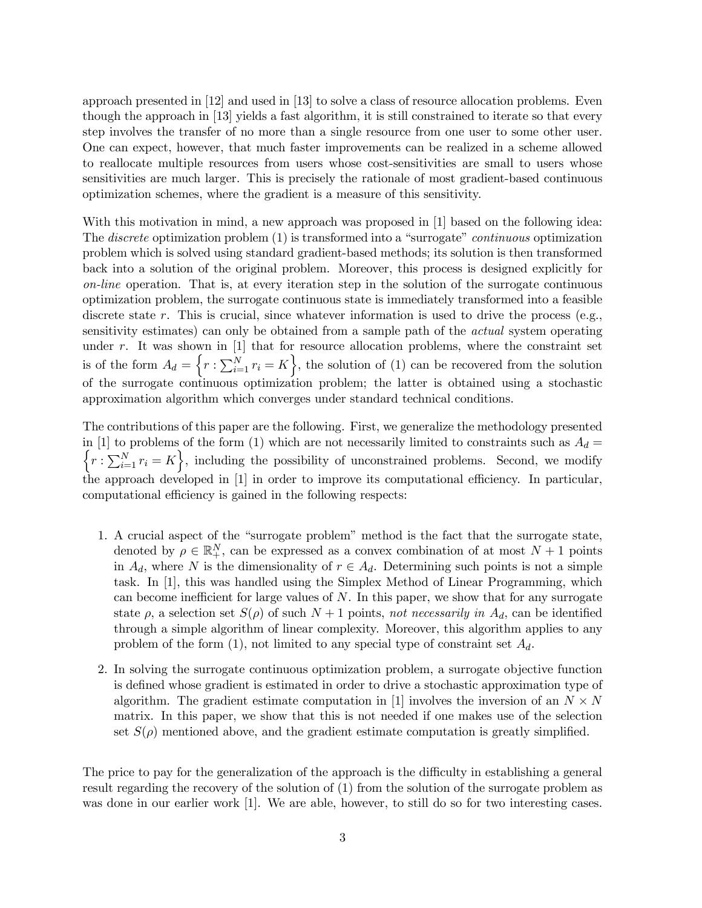approach presented in [12] and used in [13] to solve a class of resource allocation problems. Even though the approach in [13] yields a fast algorithm, it is still constrained to iterate so that every step involves the transfer of no more than a single resource from one user to some other user. One can expect, however, that much faster improvements can be realized in a scheme allowed to reallocate multiple resources from users whose cost-sensitivities are small to users whose sensitivities are much larger. This is precisely the rationale of most gradient-based continuous optimization schemes, where the gradient is a measure of this sensitivity.

With this motivation in mind, a new approach was proposed in [1] based on the following idea: The discrete optimization problem (1) is transformed into a "surrogate" continuous optimization problem which is solved using standard gradient-based methods; its solution is then transformed back into a solution of the original problem. Moreover, this process is designed explicitly for on-line operation. That is, at every iteration step in the solution of the surrogate continuous optimization problem, the surrogate continuous state is immediately transformed into a feasible discrete state  $r$ . This is crucial, since whatever information is used to drive the process (e.g., sensitivity estimates) can only be obtained from a sample path of the *actual* system operating under  $r$ . It was shown in  $[1]$  that for resource allocation problems, where the constraint set is of the form  $A_d = \left\{r : \sum_{i=1}^N r_i = K\right\}$ , the solution of (1) can be recovered from the solution of the surrogate continuous optimization problem; the latter is obtained using a stochastic approximation algorithm which converges under standard technical conditions.

The contributions of this paper are the following. First, we generalize the methodology presented in [1] to problems of the form (1) which are not necessarily limited to constraints such as  $\int$  $A_d =$  $r:\sum_{i=1}^{N} r_i = K$ , including the possibility of unconstrained problems. Second, we modify the approach developed in [1] in order to improve its computational efficiency. In particular, computational efficiency is gained in the following respects:

- 1. A crucial aspect of the "surrogate problem" method is the fact that the surrogate state, denoted by  $\rho \in \mathbb{R}^N_+$ , can be expressed as a convex combination of at most  $N+1$  points in  $A_d$ , where N is the dimensionality of  $r \in A_d$ . Determining such points is not a simple task. In [1], this was handled using the Simplex Method of Linear Programming, which can become inefficient for large values of  $N$ . In this paper, we show that for any surrogate state  $\rho$ , a selection set  $S(\rho)$  of such  $N+1$  points, not necessarily in  $A_d$ , can be identified through a simple algorithm of linear complexity. Moreover, this algorithm applies to any problem of the form  $(1)$ , not limited to any special type of constraint set  $A_d$ .
- 2. In solving the surrogate continuous optimization problem, a surrogate objective function is defined whose gradient is estimated in order to drive a stochastic approximation type of algorithm. The gradient estimate computation in [1] involves the inversion of an  $N \times N$ matrix. In this paper, we show that this is not needed if one makes use of the selection set  $S(\rho)$  mentioned above, and the gradient estimate computation is greatly simplified.

The price to pay for the generalization of the approach is the difficulty in establishing a general result regarding the recovery of the solution of (1) from the solution of the surrogate problem as was done in our earlier work [1]. We are able, however, to still do so for two interesting cases.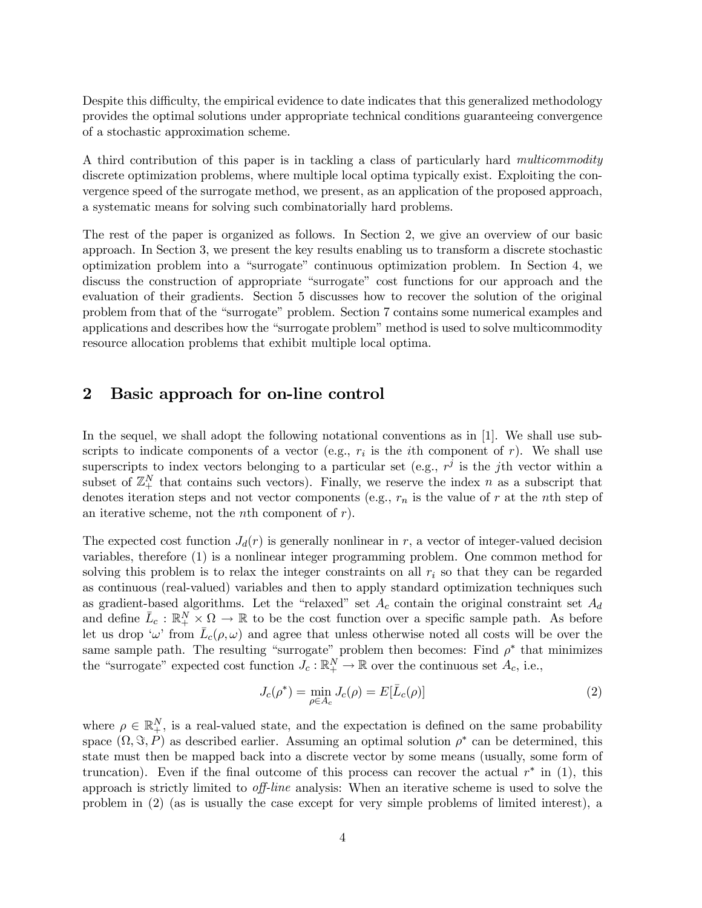Despite this difficulty, the empirical evidence to date indicates that this generalized methodology provides the optimal solutions under appropriate technical conditions guaranteeing convergence of a stochastic approximation scheme.

A third contribution of this paper is in tackling a class of particularly hard multicommodity discrete optimization problems, where multiple local optima typically exist. Exploiting the convergence speed of the surrogate method, we present, as an application of the proposed approach, a systematic means for solving such combinatorially hard problems.

The rest of the paper is organized as follows. In Section 2, we give an overview of our basic approach. In Section 3, we present the key results enabling us to transform a discrete stochastic optimization problem into a "surrogate" continuous optimization problem. In Section 4, we discuss the construction of appropriate "surrogate" cost functions for our approach and the evaluation of their gradients. Section 5 discusses how to recover the solution of the original problem from that of the "surrogate" problem. Section 7 contains some numerical examples and applications and describes how the "surrogate problem" method is used to solve multicommodity resource allocation problems that exhibit multiple local optima.

# 2 Basic approach for on-line control

In the sequel, we shall adopt the following notational conventions as in [1]. We shall use subscripts to indicate components of a vector (e.g.,  $r_i$  is the *i*th component of r). We shall use superscripts to index vectors belonging to a particular set (e.g.,  $r^j$  is the jth vector within a subset of  $\mathbb{Z}_{+}^{N}$  that contains such vectors). Finally, we reserve the index n as a subscript that denotes iteration steps and not vector components (e.g.,  $r_n$  is the value of r at the nth step of an iterative scheme, not the *n*th component of  $r$ ).

The expected cost function  $J_d(r)$  is generally nonlinear in r, a vector of integer-valued decision variables, therefore (1) is a nonlinear integer programming problem. One common method for solving this problem is to relax the integer constraints on all  $r_i$  so that they can be regarded as continuous (real-valued) variables and then to apply standard optimization techniques such as gradient-based algorithms. Let the "relaxed" set  $A_c$  contain the original constraint set  $A_d$ and define  $\bar{L}_c : \mathbb{R}_+^N \times \Omega \to \mathbb{R}$  to be the cost function over a specific sample path. As before let us drop ' $\omega$ ' from  $\bar{L}_c(\rho,\omega)$  and agree that unless otherwise noted all costs will be over the same sample path. The resulting "surrogate" problem then becomes: Find  $\rho^*$  that minimizes the "surrogate" expected cost function  $J_c : \mathbb{R}^N_+ \to \mathbb{R}$  over the continuous set  $A_c$ , i.e.,

$$
J_c(\rho^*) = \min_{\rho \in A_c} J_c(\rho) = E[\bar{L}_c(\rho)]
$$
\n(2)

where  $\rho \in \mathbb{R}_{+}^{N}$ , is a real-valued state, and the expectation is defined on the same probability space  $(\Omega, \Im, P)$  as described earlier. Assuming an optimal solution  $\rho^*$  can be determined, this state must then be mapped back into a discrete vector by some means (usually, some form of truncation). Even if the final outcome of this process can recover the actual  $r^*$  in (1), this approach is strictly limited to *off-line* analysis: When an iterative scheme is used to solve the problem in (2) (as is usually the case except for very simple problems of limited interest), a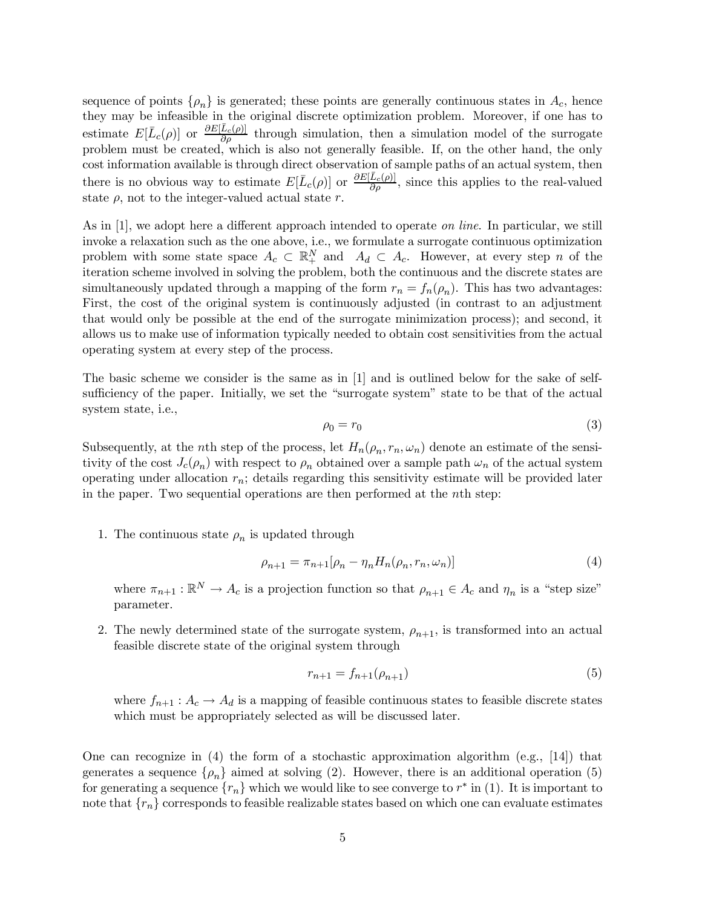sequence of points  $\{\rho_n\}$  is generated; these points are generally continuous states in  $A_c$ , hence they may be infeasible in the original discrete optimization problem. Moreover, if one has to estimate  $E[\bar{L}_c(\rho)]$  or  $\frac{\partial E[\bar{L}_c(\rho)]}{\partial \rho}$  through simulation, then a simulation model of the surrogate problem must be created, which is also not generally feasible. If, on the other hand, the only cost information available is through direct observation of sample paths of an actual system, then there is no obvious way to estimate  $E[\bar{L}_c(\rho)]$  or  $\frac{\partial E[\bar{L}_c(\rho)]}{\partial \rho}$ , since this applies to the real-valued state  $\rho$ , not to the integer-valued actual state r.

As in  $[1]$ , we adopt here a different approach intended to operate *on line*. In particular, we still invoke a relaxation such as the one above, i.e., we formulate a surrogate continuous optimization problem with some state space  $A_c \subset \mathbb{R}^N_+$  and  $A_d \subset A_c$ . However, at every step n of the iteration scheme involved in solving the problem, both the continuous and the discrete states are simultaneously updated through a mapping of the form  $r_n = f_n(\rho_n)$ . This has two advantages: First, the cost of the original system is continuously adjusted (in contrast to an adjustment that would only be possible at the end of the surrogate minimization process); and second, it allows us to make use of information typically needed to obtain cost sensitivities from the actual operating system at every step of the process.

The basic scheme we consider is the same as in [1] and is outlined below for the sake of selfsufficiency of the paper. Initially, we set the "surrogate system" state to be that of the actual system state, i.e.,

$$
\rho_0 = r_0 \tag{3}
$$

Subsequently, at the nth step of the process, let  $H_n(\rho_n, r_n, \omega_n)$  denote an estimate of the sensitivity of the cost  $J_c(\rho_n)$  with respect to  $\rho_n$  obtained over a sample path  $\omega_n$  of the actual system operating under allocation  $r_n$ ; details regarding this sensitivity estimate will be provided later in the paper. Two sequential operations are then performed at the nth step:

1. The continuous state  $\rho_n$  is updated through

$$
\rho_{n+1} = \pi_{n+1}[\rho_n - \eta_n H_n(\rho_n, r_n, \omega_n)]
$$
\n(4)

where  $\pi_{n+1} : \mathbb{R}^N \to A_c$  is a projection function so that  $\rho_{n+1} \in A_c$  and  $\eta_n$  is a "step size" parameter.

2. The newly determined state of the surrogate system,  $\rho_{n+1}$ , is transformed into an actual feasible discrete state of the original system through

$$
r_{n+1} = f_{n+1}(\rho_{n+1})
$$
\n(5)

where  $f_{n+1}: A_c \to A_d$  is a mapping of feasible continuous states to feasible discrete states which must be appropriately selected as will be discussed later.

One can recognize in  $(4)$  the form of a stochastic approximation algorithm  $(e.g., [14])$  that generates a sequence  $\{\rho_n\}$  aimed at solving (2). However, there is an additional operation (5) for generating a sequence  $\{r_n\}$  which we would like to see converge to  $r^*$  in (1). It is important to note that  $\{r_n\}$  corresponds to feasible realizable states based on which one can evaluate estimates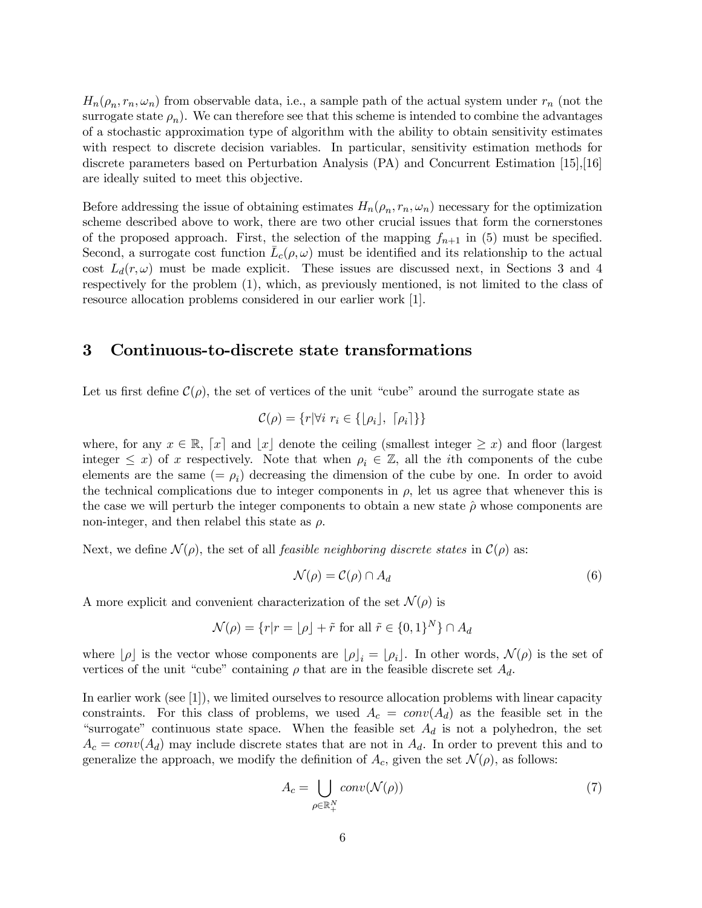$H_n(\rho_n, r_n, \omega_n)$  from observable data, i.e., a sample path of the actual system under  $r_n$  (not the surrogate state  $\rho_n$ ). We can therefore see that this scheme is intended to combine the advantages of a stochastic approximation type of algorithm with the ability to obtain sensitivity estimates with respect to discrete decision variables. In particular, sensitivity estimation methods for discrete parameters based on Perturbation Analysis (PA) and Concurrent Estimation [15],[16] are ideally suited to meet this objective.

Before addressing the issue of obtaining estimates  $H_n(\rho_n, r_n, \omega_n)$  necessary for the optimization scheme described above to work, there are two other crucial issues that form the cornerstones of the proposed approach. First, the selection of the mapping  $f_{n+1}$  in (5) must be specified. Second, a surrogate cost function  $L_c(\rho,\omega)$  must be identified and its relationship to the actual cost  $L_d(r,\omega)$  must be made explicit. These issues are discussed next, in Sections 3 and 4 respectively for the problem (1), which, as previously mentioned, is not limited to the class of resource allocation problems considered in our earlier work [1].

### 3 Continuous-to-discrete state transformations

Let us first define  $\mathcal{C}(\rho)$ , the set of vertices of the unit "cube" around the surrogate state as

$$
\mathcal{C}(\rho) = \{r | \forall i \ r_i \in \{ \lfloor \rho_i \rfloor, \ \lceil \rho_i \rceil \} \}
$$

where, for any  $x \in \mathbb{R}$ ,  $[x]$  and  $[x]$  denote the ceiling (smallest integer  $\geq x$ ) and floor (largest integer  $\leq x$ ) of x respectively. Note that when  $\rho_i \in \mathbb{Z}$ , all the *i*th components of the cube elements are the same  $(=\rho_i)$  decreasing the dimension of the cube by one. In order to avoid the technical complications due to integer components in  $\rho$ , let us agree that whenever this is the case we will perturb the integer components to obtain a new state  $\hat{\rho}$  whose components are non-integer, and then relabel this state as  $\rho$ .

Next, we define  $\mathcal{N}(\rho)$ , the set of all *feasible neighboring discrete states* in  $\mathcal{C}(\rho)$  as:

$$
\mathcal{N}(\rho) = \mathcal{C}(\rho) \cap A_d \tag{6}
$$

A more explicit and convenient characterization of the set  $\mathcal{N}(\rho)$  is

$$
\mathcal{N}(\rho) = \{r|r = \lfloor \rho \rfloor + \tilde{r} \text{ for all } \tilde{r} \in \{0, 1\}^N\} \cap A_d
$$

where  $[\rho]$  is the vector whose components are  $[\rho]_i = [\rho_i]$ . In other words,  $\mathcal{N}(\rho)$  is the set of vertices of the unit "cube" containing  $\rho$  that are in the feasible discrete set  $A_d$ .

In earlier work (see [1]), we limited ourselves to resource allocation problems with linear capacity constraints. For this class of problems, we used  $A_c = conv(A_d)$  as the feasible set in the "surrogate" continuous state space. When the feasible set  $A_d$  is not a polyhedron, the set  $A_c = conv(A_d)$  may include discrete states that are not in  $A_d$ . In order to prevent this and to generalize the approach, we modify the definition of  $A_c$ , given the set  $\mathcal{N}(\rho)$ , as follows:

$$
A_c = \bigcup_{\rho \in \mathbb{R}_+^N} conv(\mathcal{N}(\rho))
$$
\n(7)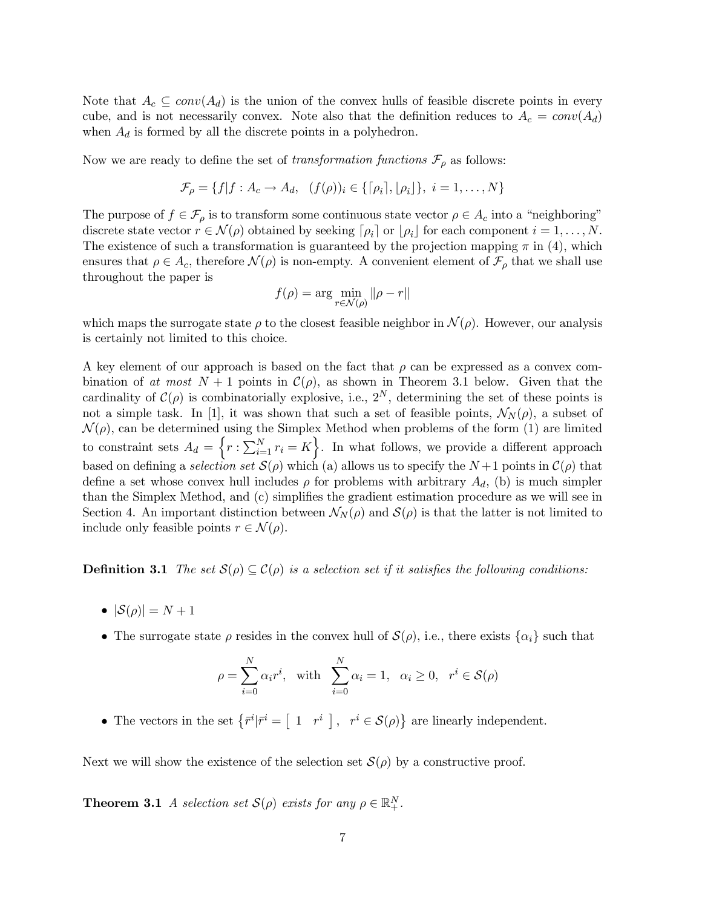Note that  $A_c \subseteq conv(A_d)$  is the union of the convex hulls of feasible discrete points in every cube, and is not necessarily convex. Note also that the definition reduces to  $A_c = conv(A_d)$ when  $A_d$  is formed by all the discrete points in a polyhedron.

Now we are ready to define the set of transformation functions  $\mathcal{F}_{\rho}$  as follows:

$$
\mathcal{F}_{\rho} = \{f | f : A_c \to A_d, \ (f(\rho))_i \in \{[\rho_i], [\rho_i]\}, \ i = 1, ..., N\}
$$

The purpose of  $f \in \mathcal{F}_{\rho}$  is to transform some continuous state vector  $\rho \in A_c$  into a "neighboring" discrete state vector  $r \in \mathcal{N}(\rho)$  obtained by seeking  $\lceil \rho_i \rceil$  or  $\lceil \rho_i \rceil$  for each component  $i = 1, \ldots, N$ . The existence of such a transformation is guaranteed by the projection mapping  $\pi$  in (4), which ensures that  $\rho \in A_c$ , therefore  $\mathcal{N}(\rho)$  is non-empty. A convenient element of  $\mathcal{F}_{\rho}$  that we shall use throughout the paper is

$$
f(\rho) = \arg\min_{r \in \mathcal{N}(\rho)} \|\rho - r\|
$$

which maps the surrogate state  $\rho$  to the closest feasible neighbor in  $\mathcal{N}(\rho)$ . However, our analysis is certainly not limited to this choice.

A key element of our approach is based on the fact that  $\rho$  can be expressed as a convex combination of at most  $N+1$  points in  $\mathcal{C}(\rho)$ , as shown in Theorem 3.1 below. Given that the cardinality of  $\mathcal{C}(\rho)$  is combinatorially explosive, i.e.,  $2^N$ , determining the set of these points is not a simple task. In [1], it was shown that such a set of feasible points,  $\mathcal{N}_N(\rho)$ , a subset of  $\mathcal{N}(\rho)$ , can be determined using the Simplex Method when problems of the form (1) are limited to constraint sets  $A_d = \left\{r : \sum_{i=1}^N r_i = K\right\}$ . In what follows, we provide a different approach based on defining a selection set  $\mathcal{S}(\rho)$  which (a) allows us to specify the  $N+1$  points in  $\mathcal{C}(\rho)$  that define a set whose convex hull includes  $\rho$  for problems with arbitrary  $A_d$ , (b) is much simpler than the Simplex Method, and (c) simplifies the gradient estimation procedure as we will see in Section 4. An important distinction between  $\mathcal{N}_N(\rho)$  and  $\mathcal{S}(\rho)$  is that the latter is not limited to include only feasible points  $r \in \mathcal{N}(\rho)$ .

**Definition 3.1** The set  $S(\rho) \subseteq C(\rho)$  is a selection set if it satisfies the following conditions:

- $|\mathcal{S}(\rho)| = N + 1$
- The surrogate state  $\rho$  resides in the convex hull of  $\mathcal{S}(\rho)$ , i.e., there exists  $\{\alpha_i\}$  such that

$$
\rho = \sum_{i=0}^{N} \alpha_i r^i, \text{ with } \sum_{i=0}^{N} \alpha_i = 1, \alpha_i \ge 0, r^i \in \mathcal{S}(\rho)
$$

• The vectors in the set  $\{\bar{r}^i | \bar{r}^i = [1 \quad r^i \mid, \quad r^i \in \mathcal{S}(\rho)\}\)$  are linearly independent.

Next we will show the existence of the selection set  $\mathcal{S}(\rho)$  by a constructive proof.

**Theorem 3.1** A selection set  $\mathcal{S}(\rho)$  exists for any  $\rho \in \mathbb{R}^N_+$ .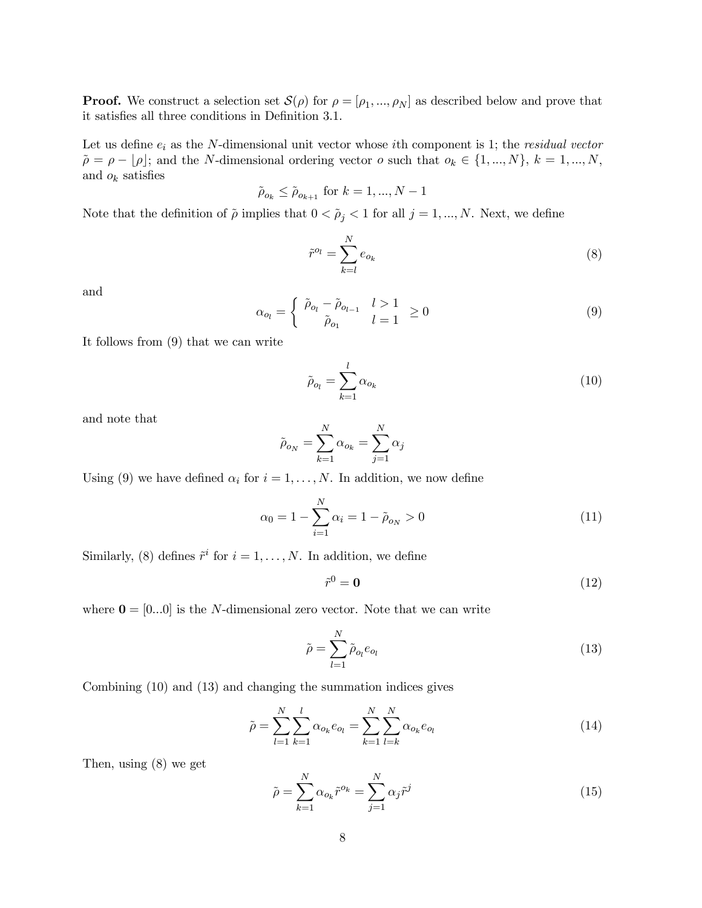**Proof.** We construct a selection set  $S(\rho)$  for  $\rho = [\rho_1, ..., \rho_N]$  as described below and prove that it satisfies all three conditions in Definition 3.1.

Let us define  $e_i$  as the N-dimensional unit vector whose *i*th component is 1; the *residual vector*  $\tilde{\rho} = \rho - \lfloor \rho \rfloor$ ; and the N-dimensional ordering vector  $o$  such that  $o_k \in \{1, ..., N\}, k = 1, ..., N$ , and  $o_k$  satisfies

$$
\tilde{\rho}_{o_k} \le \tilde{\rho}_{o_{k+1}} \text{ for } k = 1, ..., N - 1
$$

Note that the definition of  $\tilde{\rho}$  implies that  $0 < \tilde{\rho}_j < 1$  for all  $j = 1, ..., N$ . Next, we define

$$
\tilde{r}^{o_l} = \sum_{k=l}^{N} e_{o_k} \tag{8}
$$

and

$$
\alpha_{o_l} = \begin{cases} \tilde{\rho}_{o_l} - \tilde{\rho}_{o_{l-1}} & l > 1 \\ \tilde{\rho}_{o_1} & l = 1 \end{cases} \ge 0 \tag{9}
$$

It follows from (9) that we can write

$$
\tilde{\rho}_{o_l} = \sum_{k=1}^{l} \alpha_{o_k} \tag{10}
$$

and note that

$$
\tilde{\rho}_{o_N} = \sum_{k=1}^N \alpha_{o_k} = \sum_{j=1}^N \alpha_j
$$

Using (9) we have defined  $\alpha_i$  for  $i = 1, \ldots, N$ . In addition, we now define

$$
\alpha_0 = 1 - \sum_{i=1}^{N} \alpha_i = 1 - \tilde{\rho}_{o_N} > 0 \tag{11}
$$

Similarly, (8) defines  $\tilde{r}^i$  for  $i = 1, \ldots, N$ . In addition, we define

$$
\tilde{r}^0 = \mathbf{0} \tag{12}
$$

where  $\mathbf{0} = [0...0]$  is the N-dimensional zero vector. Note that we can write

$$
\tilde{\rho} = \sum_{l=1}^{N} \tilde{\rho}_{o_l} e_{o_l} \tag{13}
$$

Combining (10) and (13) and changing the summation indices gives

$$
\tilde{\rho} = \sum_{l=1}^{N} \sum_{k=1}^{l} \alpha_{o_k} e_{o_l} = \sum_{k=1}^{N} \sum_{l=k}^{N} \alpha_{o_k} e_{o_l}
$$
\n(14)

Then, using (8) we get

$$
\tilde{\rho} = \sum_{k=1}^{N} \alpha_{o_k} \tilde{r}^{o_k} = \sum_{j=1}^{N} \alpha_j \tilde{r}^j
$$
\n(15)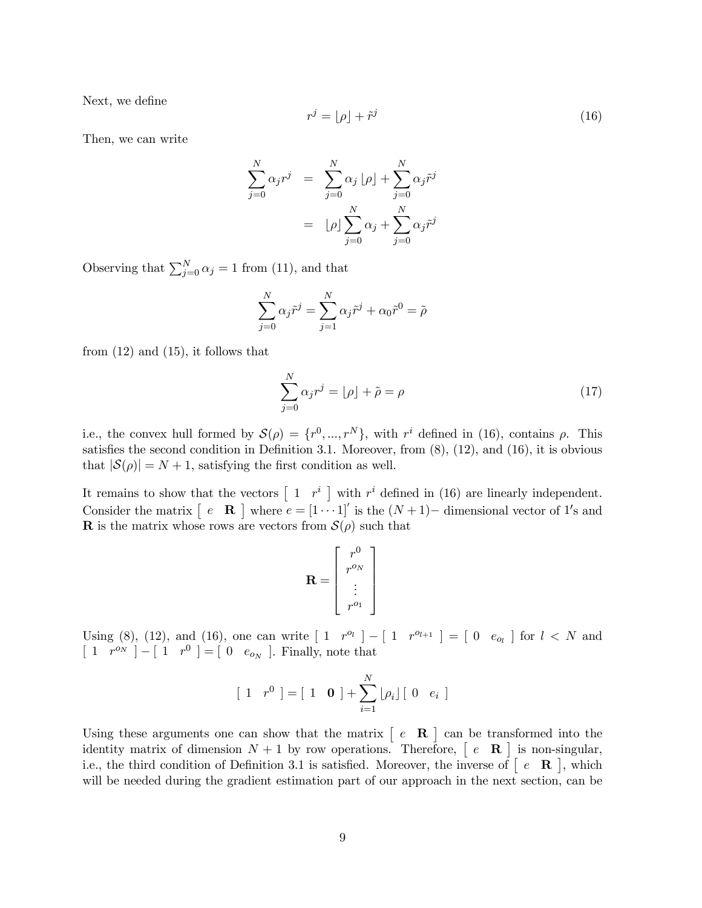Next, we define

$$
r^j = \lfloor \rho \rfloor + \tilde{r}^j \tag{16}
$$

Then, we can write

$$
\sum_{j=0}^{N} \alpha_j r^j = \sum_{j=0}^{N} \alpha_j \lfloor \rho \rfloor + \sum_{j=0}^{N} \alpha_j \tilde{r}^j
$$

$$
= \lfloor \rho \rfloor \sum_{j=0}^{N} \alpha_j + \sum_{j=0}^{N} \alpha_j \tilde{r}^j
$$

Observing that  $\sum_{j=0}^{N} \alpha_j = 1$  from (11), and that

$$
\sum_{j=0}^{N} \alpha_j \tilde{r}^j = \sum_{j=1}^{N} \alpha_j \tilde{r}^j + \alpha_0 \tilde{r}^0 = \tilde{\rho}
$$

from  $(12)$  and  $(15)$ , it follows that

$$
\sum_{j=0}^{N} \alpha_j r^j = \lfloor \rho \rfloor + \tilde{\rho} = \rho \tag{17}
$$

i.e., the convex hull formed by  $\mathcal{S}(\rho) = \{r^0, ..., r^N\}$ , with  $r^i$  defined in (16), contains  $\rho$ . This satisfies the second condition in Definition 3.1. Moreover, from  $(8)$ ,  $(12)$ , and  $(16)$ , it is obvious that  $|\mathcal{S}(\rho)| = N + 1$ , satisfying the first condition as well.

It remains to show that the vectors  $\begin{bmatrix} 1 & r^i \end{bmatrix}$  with  $r^i$  defined in (16) are linearly independent. Consider the matrix  $[ e \mathbf{R} ]$  where  $e = [1 \cdots 1]'$  is the  $(N+1)$ - dimensional vector of 1's and **R** is the matrix whose rows are vectors from  $\mathcal{S}(\rho)$  such that

$$
\mathbf{R} = \left[ \begin{array}{c} r^0 \\ r^{o_N} \\ \vdots \\ r^{o_1} \end{array} \right]
$$

Using (8), (12), and (16), one can write  $[1 \ r^{o_l}] - [1 \ r^{o_{l+1}}] = [0 \ e_{o_l}]$  for  $l \leq N$  and  $\left[\begin{array}{cc} 1 & r^{o} \end{array}\right] - \left[\begin{array}{cc} 1 & r^{0} \end{array}\right] = \left[\begin{array}{cc} 0 & e_{o_{N}} \end{array}\right]$ . Finally, note that

$$
\begin{bmatrix} 1 & r^0 \end{bmatrix} = \begin{bmatrix} 1 & \mathbf{0} \end{bmatrix} + \sum_{i=1}^{N} \lfloor \rho_i \rfloor \begin{bmatrix} 0 & e_i \end{bmatrix}
$$

Using these arguments one can show that the matrix  $\begin{bmatrix} e & \mathbf{R} \end{bmatrix}$  can be transformed into the identity matrix of dimension  $N + 1$  by row operations. Therefore,  $\begin{bmatrix} e & \mathbf{R} \end{bmatrix}$  is non-singular, i.e., the third condition of Definition 3.1 is satisfied. Moreover, the inverse of  $\begin{bmatrix} e & \mathbf{R} \end{bmatrix}$ , which will be needed during the gradient estimation part of our approach in the next section, can be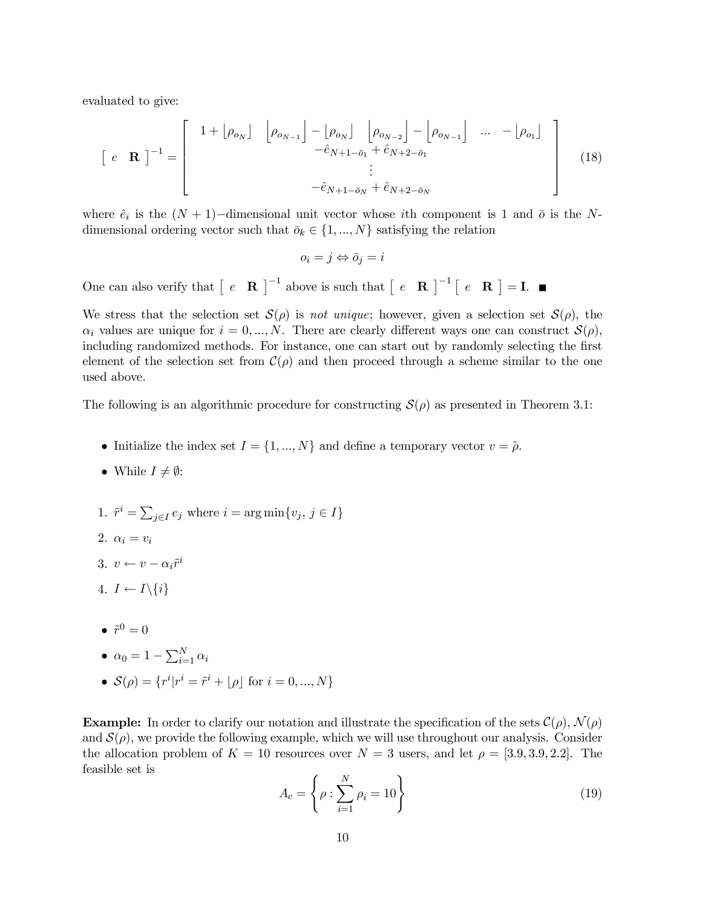evaluated to give:

$$
\begin{bmatrix} e & \mathbf{R} \end{bmatrix}^{-1} = \begin{bmatrix} 1 + \begin{bmatrix} \rho_{o_N} \end{bmatrix} & \begin{bmatrix} \rho_{o_{N-1}} \end{bmatrix} - \begin{bmatrix} \rho_{o_N} \end{bmatrix} & \begin{bmatrix} \rho_{o_{N-2}} \end{bmatrix} - \begin{bmatrix} \rho_{o_{N-1}} \end{bmatrix} & \cdots & - \begin{bmatrix} \rho_{o_1} \end{bmatrix} \\ \vdots & \ddots & \vdots \\ -\hat{e}_{N+1-\bar{o}_N} + \hat{e}_{N+2-\bar{o}_N} \end{bmatrix}
$$
(18)

where  $\hat{e}_i$  is the  $(N + 1)$ -dimensional unit vector whose ith component is 1 and  $\bar{o}$  is the Ndimensional ordering vector such that  $\bar{o}_k \in \{1, ..., N\}$  satisfying the relation

$$
o_i = j \Leftrightarrow \bar{o}_j = i
$$

One can also verify that  $\begin{bmatrix} e & \mathbf{R} \end{bmatrix}^{-1}$  above is such that  $\begin{bmatrix} e & \mathbf{R} \end{bmatrix}^{-1} \begin{bmatrix} e & \mathbf{R} \end{bmatrix} = \mathbf{I}$ .

We stress that the selection set  $\mathcal{S}(\rho)$  is not unique; however, given a selection set  $\mathcal{S}(\rho)$ , the  $\alpha_i$  values are unique for  $i = 0, ..., N$ . There are clearly different ways one can construct  $\mathcal{S}(\rho)$ , including randomized methods. For instance, one can start out by randomly selecting the first element of the selection set from  $\mathcal{C}(\rho)$  and then proceed through a scheme similar to the one used above.

The following is an algorithmic procedure for constructing  $\mathcal{S}(\rho)$  as presented in Theorem 3.1:

- Initialize the index set  $I = \{1, ..., N\}$  and define a temporary vector  $v = \tilde{\rho}$ .
- While  $I \neq \emptyset$ :
- 1.  $\tilde{r}^i = \sum_{j \in I} e_j$  where  $i = \arg \min \{v_j, j \in I\}$
- 2.  $\alpha_i = v_i$
- 3.  $v \leftarrow v \alpha_i \tilde{r}^i$
- 4.  $I \leftarrow I \setminus \{i\}$
- $\hat{r}^0 = 0$

$$
\bullet \ \alpha_0 = 1 - \sum_{i=1}^{N} \alpha_i
$$

•  $S(\rho) = \{r^i | r^i = \tilde{r}^i + \lfloor \rho \rfloor \text{ for } i = 0, ..., N\}$ 

**Example:** In order to clarify our notation and illustrate the specification of the sets  $\mathcal{C}(\rho)$ ,  $\mathcal{N}(\rho)$ and  $\mathcal{S}(\rho)$ , we provide the following example, which we will use throughout our analysis. Consider the allocation problem of  $K = 10$  resources over  $N = 3$  users, and let  $\rho = [3.9, 3.9, 2.2]$ . The feasible set is

$$
A_c = \left\{ \rho : \sum_{i=1}^{N} \rho_i = 10 \right\} \tag{19}
$$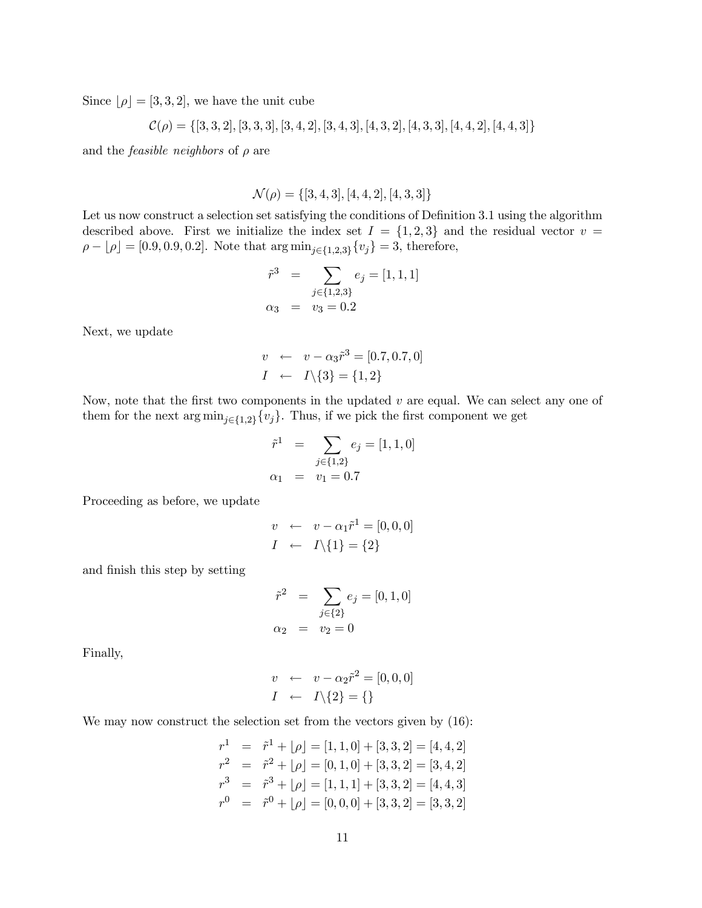Since  $|\rho| = [3, 3, 2]$ , we have the unit cube

$$
\mathcal{C}(\rho) = \{ [3, 3, 2], [3, 3, 3], [3, 4, 2], [3, 4, 3], [4, 3, 2], [4, 3, 3], [4, 4, 2], [4, 4, 3] \}
$$

and the *feasible neighbors* of  $\rho$  are

 $\mathcal{N}(\rho) = \{[3, 4, 3], [4, 4, 2], [4, 3, 3]\}$ 

Let us now construct a selection set satisfying the conditions of Definition  $3.1$  using the algorithm described above. First we initialize the index set  $I = \{1,2,3\}$  and the residual vector  $v =$  $\rho - \lfloor \rho \rfloor = [0.9, 0.9, 0.2]$ . Note that  $\arg \min_{j \in \{1,2,3\}} \{v_j\} = 3$ , therefore,

$$
\tilde{r}^3 = \sum_{j \in \{1,2,3\}} e_j = [1, 1, 1]
$$
  

$$
\alpha_3 = v_3 = 0.2
$$

Next, we update

$$
v \leftarrow v - \alpha_3 \hat{r}^3 = [0.7, 0.7, 0]
$$

$$
I \leftarrow I \setminus \{3\} = \{1, 2\}
$$

Now, note that the first two components in the updated  $v$  are equal. We can select any one of them for the next  $\arg \min_{j\in\{1,2\}}\{v_j\}$ . Thus, if we pick the first component we get

$$
\tilde{r}^{1} = \sum_{j \in \{1,2\}} e_{j} = [1, 1, 0]
$$

$$
\alpha_{1} = v_{1} = 0.7
$$

Proceeding as before, we update

$$
v \leftarrow v - \alpha_1 \tilde{r}^1 = [0, 0, 0]
$$

$$
I \leftarrow I \setminus \{1\} = \{2\}
$$

and finish this step by setting

$$
\tilde{r}^2 = \sum_{j \in \{2\}} e_j = [0, 1, 0] \n\alpha_2 = v_2 = 0
$$

Finally,

$$
v \leftarrow v - \alpha_2 \tilde{r}^2 = [0, 0, 0]
$$

$$
I \leftarrow I \setminus \{2\} = \{\}
$$

We may now construct the selection set from the vectors given by  $(16)$ :

$$
r^{1} = \tilde{r}^{1} + \lfloor \rho \rfloor = [1, 1, 0] + [3, 3, 2] = [4, 4, 2]
$$
  
\n
$$
r^{2} = \tilde{r}^{2} + \lfloor \rho \rfloor = [0, 1, 0] + [3, 3, 2] = [3, 4, 2]
$$
  
\n
$$
r^{3} = \tilde{r}^{3} + \lfloor \rho \rfloor = [1, 1, 1] + [3, 3, 2] = [4, 4, 3]
$$
  
\n
$$
r^{0} = \tilde{r}^{0} + \lfloor \rho \rfloor = [0, 0, 0] + [3, 3, 2] = [3, 3, 2]
$$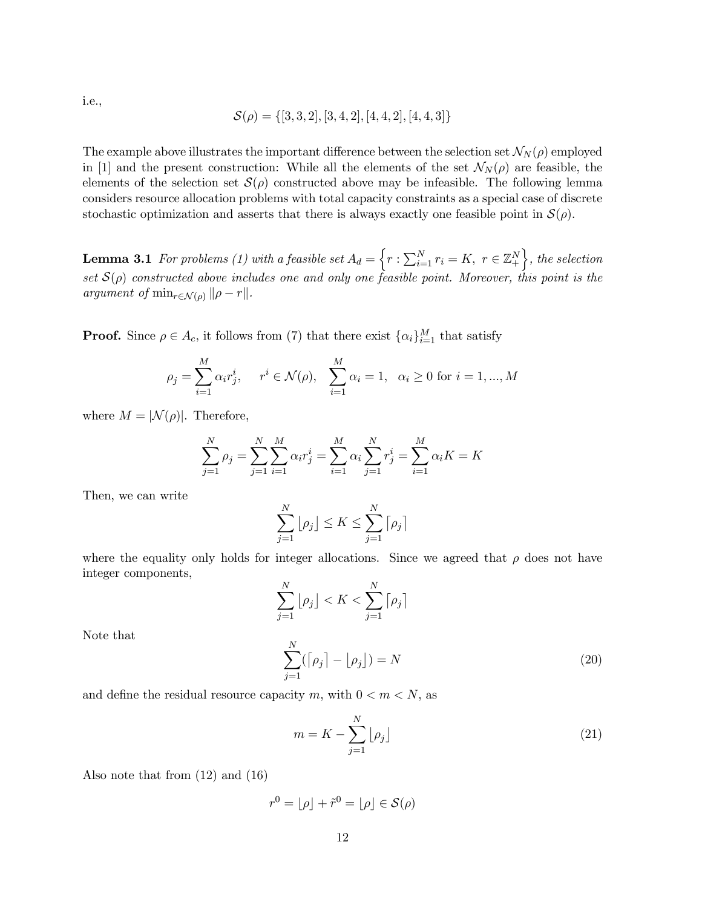i.e.,

$$
\mathcal{S}(\rho) = \{ [3, 3, 2], [3, 4, 2], [4, 4, 2], [4, 4, 3] \}
$$

The example above illustrates the important difference between the selection set  $\mathcal{N}_N(\rho)$  employed in [1] and the present construction: While all the elements of the set  $\mathcal{N}_N(\rho)$  are feasible, the elements of the selection set  $\mathcal{S}(\rho)$  constructed above may be infeasible. The following lemma considers resource allocation problems with total capacity constraints as a special case of discrete stochastic optimization and asserts that there is always exactly one feasible point in  $\mathcal{S}(\rho)$ .

**Lemma 3.1** For problems (1) with a feasible set  $A_d = \left\{ r : \sum_{i=1}^N r_i = K, \ r \in \mathbb{Z}_+^N \right\}$ , the selection set  $S(\rho)$  constructed above includes one and only one feasible point. Moreover, this point is the argument of  $\min_{r \in \mathcal{N}(\rho)} ||\rho - r||$ .

**Proof.** Since  $\rho \in A_c$ , it follows from (7) that there exist  $\{\alpha_i\}_{i=1}^M$  that satisfy

$$
\rho_j = \sum_{i=1}^M \alpha_i r_j^i, \quad r^i \in \mathcal{N}(\rho), \quad \sum_{i=1}^M \alpha_i = 1, \quad \alpha_i \ge 0 \text{ for } i = 1, ..., M
$$

where  $M = |\mathcal{N}(\rho)|$ . Therefore,

$$
\sum_{j=1}^{N} \rho_j = \sum_{j=1}^{N} \sum_{i=1}^{M} \alpha_i r_j^i = \sum_{i=1}^{M} \alpha_i \sum_{j=1}^{N} r_j^i = \sum_{i=1}^{M} \alpha_i K = K
$$

Then, we can write

$$
\sum_{j=1}^{N} \lfloor \rho_j \rfloor \le K \le \sum_{j=1}^{N} \lceil \rho_j \rceil
$$

where the equality only holds for integer allocations. Since we agreed that  $\rho$  does not have integer components,

$$
\sum_{j=1}^{N} \lfloor \rho_j \rfloor < K < \sum_{j=1}^{N} \lceil \rho_j \rceil
$$
\n
$$
\sum_{j=1}^{N} (\lceil \rho_j \rceil - \lfloor \rho_j \rfloor) = N \tag{20}
$$

Note that

and define the residual resource capacity m, with  $0 < m < N$ , as

$$
m = K - \sum_{j=1}^{N} \lfloor \rho_j \rfloor \tag{21}
$$

Also note that from (12) and (16)

$$
r^0 = \lfloor \rho \rfloor + \tilde{r}^0 = \lfloor \rho \rfloor \in \mathcal{S}(\rho)
$$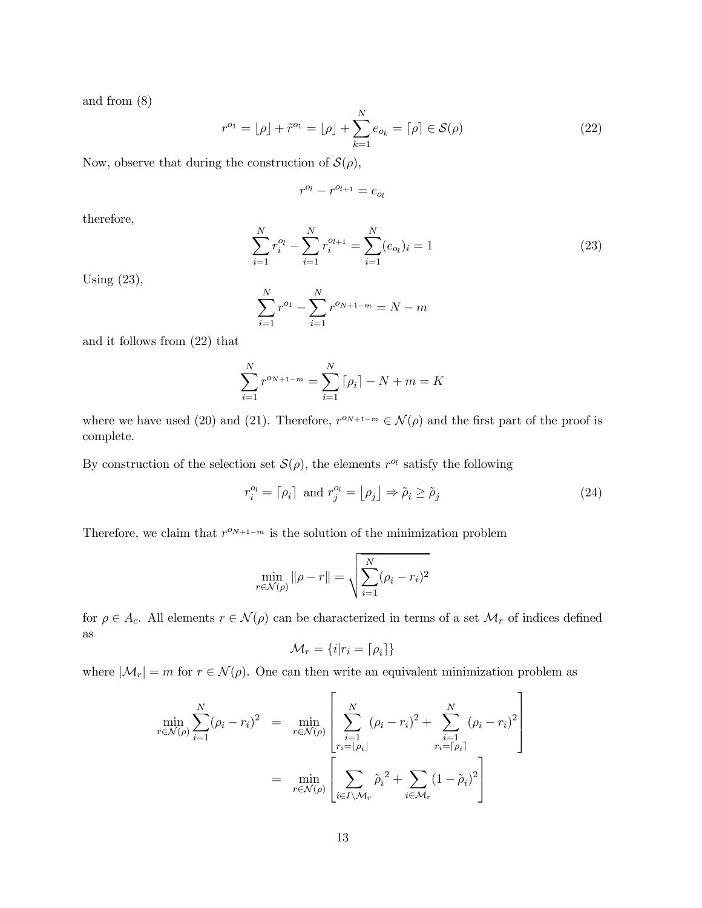and from (8)

$$
r^{o_1} = \lfloor \rho \rfloor + \tilde{r}^{o_1} = \lfloor \rho \rfloor + \sum_{k=1}^{N} e_{o_k} = \lceil \rho \rceil \in \mathcal{S}(\rho)
$$
 (22)

Now, observe that during the construction of  $\mathcal{S}(\rho)$ ,

$$
r^{o_l} - r^{o_{l+1}} = e_{o_l}
$$

therefore,

$$
\sum_{i=1}^{N} r_i^{o_l} - \sum_{i=1}^{N} r_i^{o_{l+1}} = \sum_{i=1}^{N} (e_{o_l})_i = 1
$$
\n(23)

Using (23),

$$
\sum_{i=1}^{N} r^{o_1} - \sum_{i=1}^{N} r^{o_{N+1-m}} = N - m
$$

and it follows from (22) that

$$
\sum_{i=1}^{N} r^{o_{N+1-m}} = \sum_{i=1}^{N} \lceil \rho_i \rceil - N + m = K
$$

where we have used (20) and (21). Therefore,  $r^{o_{N+1-m}} \in \mathcal{N}(\rho)$  and the first part of the proof is complete.

By construction of the selection set  $\mathcal{S}(\rho)$ , the elements  $r^{o_l}$  satisfy the following

$$
r_i^{o_l} = \lceil \rho_i \rceil \text{ and } r_j^{o_l} = \lfloor \rho_j \rfloor \Rightarrow \tilde{\rho}_i \ge \tilde{\rho}_j \tag{24}
$$

 $\overline{a}$ 

Therefore, we claim that  $r^{o_{N+1-m}}$  is the solution of the minimization problem

$$
\min_{r \in \mathcal{N}(\rho)} \|\rho - r\| = \sqrt{\sum_{i=1}^{N} (\rho_i - r_i)^2}
$$

for  $\rho \in A_c$ . All elements  $r \in \mathcal{N}(\rho)$  can be characterized in terms of a set  $\mathcal{M}_r$  of indices defined as

$$
\mathcal{M}_r = \{i | r_i = \lceil \rho_i \rceil\}
$$

where  $|\mathcal{M}_r| = m$  for  $r \in \mathcal{N}(\rho)$ . One can then write an equivalent minimization problem as

$$
\min_{r \in \mathcal{N}(\rho)} \sum_{i=1}^{N} (\rho_i - r_i)^2 = \min_{r \in \mathcal{N}(\rho)} \left[ \sum_{\substack{i=1 \ r_i = [\rho_i]}}^{N} (\rho_i - r_i)^2 + \sum_{\substack{i=1 \ r_i = [\rho_i]}}^{N} (\rho_i - r_i)^2 \right]
$$

$$
= \min_{r \in \mathcal{N}(\rho)} \left[ \sum_{i \in I \setminus \mathcal{M}_r} \tilde{\rho}_i^2 + \sum_{i \in \mathcal{M}_r} (1 - \tilde{\rho}_i)^2 \right]
$$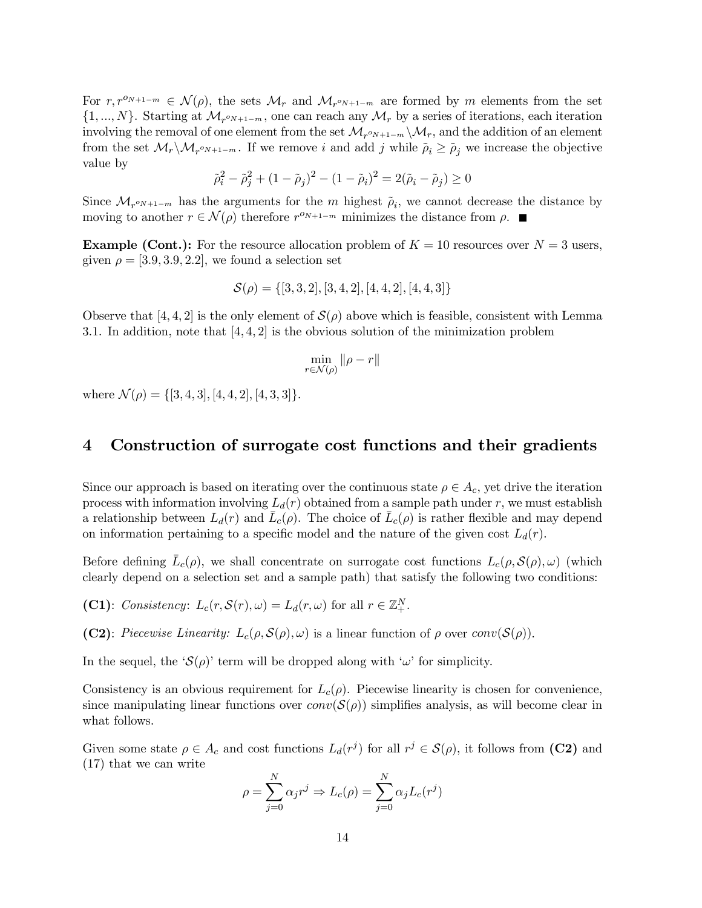For  $r, r^{o_{N+1-m}} \in \mathcal{N}(\rho)$ , the sets  $\mathcal{M}_r$  and  $\mathcal{M}_{r^{o_{N+1-m}}}$  are formed by m elements from the set  $\{1, ..., N\}$ . Starting at  $\mathcal{M}_{r \text{sym}}$ , one can reach any  $\mathcal{M}_r$  by a series of iterations, each iteration involving the removal of one element from the set  $\mathcal{M}_{r^oN+1-m}\setminus\mathcal{M}_r$ , and the addition of an element from the set  $\mathcal{M}_r\setminus\mathcal{M}_{r^o_{N+1-m}}$ . If we remove i and add j while  $\tilde{\rho}_i \geq \tilde{\rho}_j$  we increase the objective value by

$$
\tilde{\rho}_i^2 - \tilde{\rho}_j^2 + (1 - \tilde{\rho}_j)^2 - (1 - \tilde{\rho}_i)^2 = 2(\tilde{\rho}_i - \tilde{\rho}_j) \ge 0
$$

Since  $\mathcal{M}_{r^{o_{N+1-m}}}$  has the arguments for the m highest  $\tilde{\rho}_i$ , we cannot decrease the distance by moving to another  $r \in \mathcal{N}(\rho)$  therefore  $r^{o_{N+1-m}}$  minimizes the distance from  $\rho$ .

**Example (Cont.):** For the resource allocation problem of  $K = 10$  resources over  $N = 3$  users, given  $\rho = [3.9, 3.9, 2.2]$ , we found a selection set

$$
\mathcal{S}(\rho) = \{[3,3,2], [3,4,2], [4,4,2], [4,4,3]\}
$$

Observe that [4, 4, 2] is the only element of  $\mathcal{S}(\rho)$  above which is feasible, consistent with Lemma 3.1. In addition, note that  $[4, 4, 2]$  is the obvious solution of the minimization problem

$$
\min_{r \in \mathcal{N}(\rho)} \|\rho - r\|
$$

where  $\mathcal{N}(\rho) = \{[3, 4, 3], [4, 4, 2], [4, 3, 3]\}.$ 

### 4 Construction of surrogate cost functions and their gradients

Since our approach is based on iterating over the continuous state  $\rho \in A_c$ , yet drive the iteration process with information involving  $L_d(r)$  obtained from a sample path under r, we must establish a relationship between  $L_d(r)$  and  $L_c(\rho)$ . The choice of  $L_c(\rho)$  is rather flexible and may depend on information pertaining to a specific model and the nature of the given cost  $L_d(r)$ .

Before defining  $L_c(\rho)$ , we shall concentrate on surrogate cost functions  $L_c(\rho, \mathcal{S}(\rho), \omega)$  (which clearly depend on a selection set and a sample path) that satisfy the following two conditions:

- (C1): Consistency:  $L_c(r, \mathcal{S}(r), \omega) = L_d(r, \omega)$  for all  $r \in \mathbb{Z}_+^N$ .
- (C2): Piecewise Linearity:  $L_c(\rho, \mathcal{S}(\rho), \omega)$  is a linear function of  $\rho$  over conv $(\mathcal{S}(\rho))$ .

In the sequel, the ' $\mathcal{S}(\rho)$ ' term will be dropped along with ' $\omega$ ' for simplicity.

Consistency is an obvious requirement for  $L_c(\rho)$ . Piecewise linearity is chosen for convenience, since manipulating linear functions over  $conv(\mathcal{S}(\rho))$  simplifies analysis, as will become clear in what follows.

Given some state  $\rho \in A_c$  and cost functions  $L_d(r^j)$  for all  $r^j \in \mathcal{S}(\rho)$ , it follows from (C2) and (17) that we can write

$$
\rho = \sum_{j=0}^{N} \alpha_j r^j \Rightarrow L_c(\rho) = \sum_{j=0}^{N} \alpha_j L_c(r^j)
$$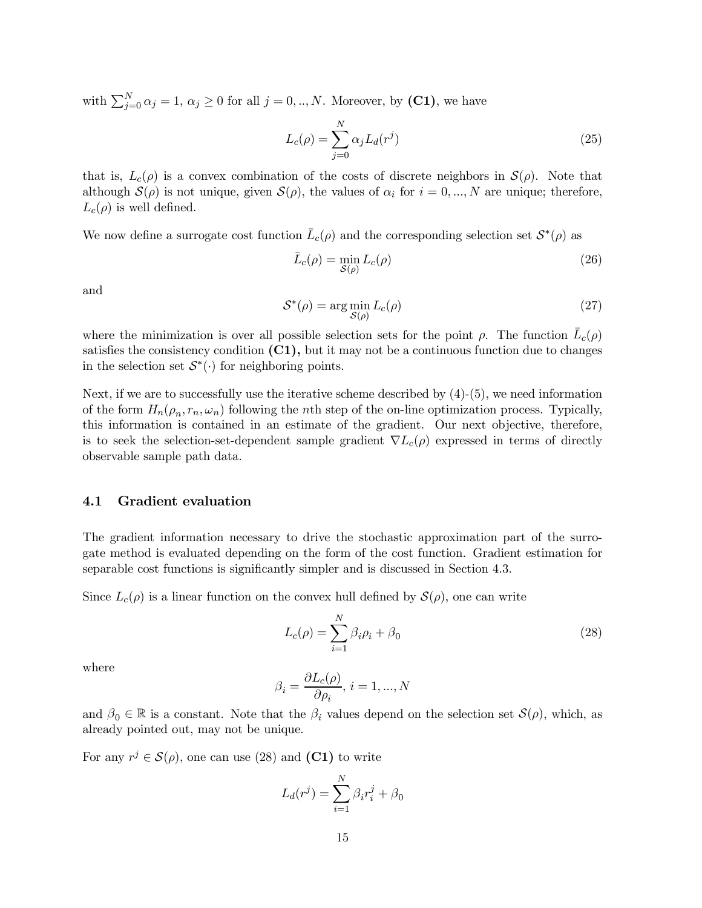with  $\sum_{j=0}^{N} \alpha_j = 1, \, \alpha_j \geq 0$  for all  $j = 0,..,N$ . Moreover, by (C1), we have

$$
L_c(\rho) = \sum_{j=0}^{N} \alpha_j L_d(r^j)
$$
\n(25)

that is,  $L_c(\rho)$  is a convex combination of the costs of discrete neighbors in  $\mathcal{S}(\rho)$ . Note that although  $\mathcal{S}(\rho)$  is not unique, given  $\mathcal{S}(\rho)$ , the values of  $\alpha_i$  for  $i = 0, ..., N$  are unique; therefore,  $L_c(\rho)$  is well defined.

We now define a surrogate cost function  $\bar{L}_c(\rho)$  and the corresponding selection set  $\mathcal{S}^*(\rho)$  as

$$
\bar{L}_c(\rho) = \min_{\mathcal{S}(\rho)} L_c(\rho) \tag{26}
$$

and

$$
S^*(\rho) = \arg\min_{S(\rho)} L_c(\rho)
$$
\n(27)

where the minimization is over all possible selection sets for the point  $\rho$ . The function  $L_c(\rho)$ satisfies the consistency condition  $(C1)$ , but it may not be a continuous function due to changes in the selection set  $S^*(\cdot)$  for neighboring points.

Next, if we are to successfully use the iterative scheme described by (4)-(5), we need information of the form  $H_n(\rho_n, r_n, \omega_n)$  following the nth step of the on-line optimization process. Typically, this information is contained in an estimate of the gradient. Our next objective, therefore, is to seek the selection-set-dependent sample gradient  $\nabla L_c(\rho)$  expressed in terms of directly observable sample path data.

#### 4.1 Gradient evaluation

The gradient information necessary to drive the stochastic approximation part of the surrogate method is evaluated depending on the form of the cost function. Gradient estimation for separable cost functions is significantly simpler and is discussed in Section 4.3.

Since  $L_c(\rho)$  is a linear function on the convex hull defined by  $\mathcal{S}(\rho)$ , one can write

$$
L_c(\rho) = \sum_{i=1}^{N} \beta_i \rho_i + \beta_0 \tag{28}
$$

where

$$
\beta_i=\frac{\partial L_c(\rho)}{\partial \rho_i},\,i=1,...,N
$$

and  $\beta_0 \in \mathbb{R}$  is a constant. Note that the  $\beta_i$  values depend on the selection set  $\mathcal{S}(\rho)$ , which, as already pointed out, may not be unique.

For any  $r^j \in \mathcal{S}(\rho)$ , one can use (28) and (C1) to write

$$
L_d(r^j) = \sum_{i=1}^N \beta_i r_i^j + \beta_0
$$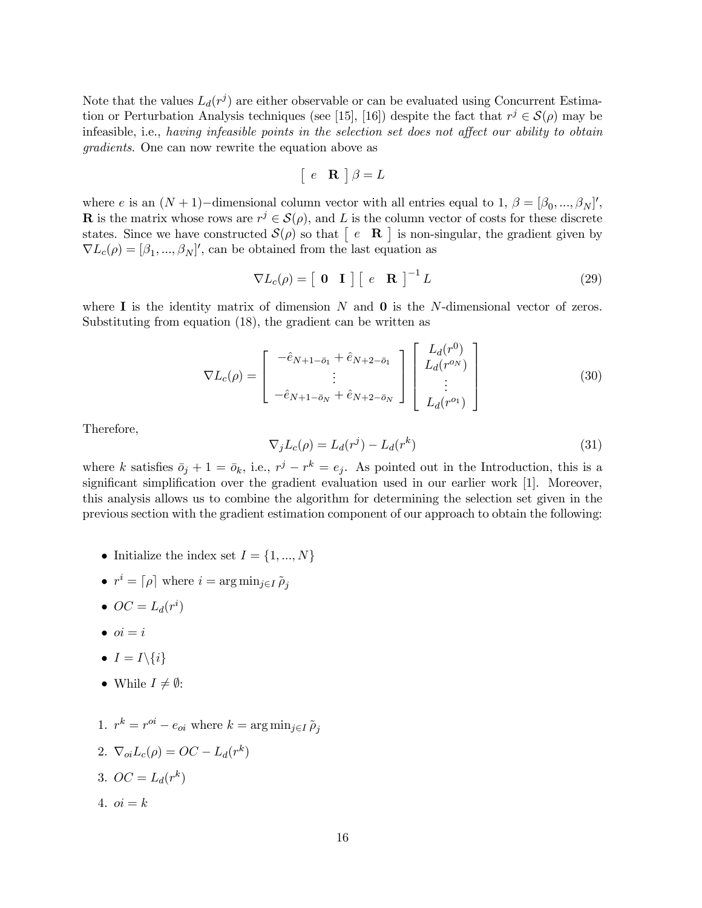Note that the values  $L_d(r^j)$  are either observable or can be evaluated using Concurrent Estimation or Perturbation Analysis techniques (see [15], [16]) despite the fact that  $r^j \in \mathcal{S}(\rho)$  may be infeasible, i.e., having infeasible points in the selection set does not affect our ability to obtain gradients. One can now rewrite the equation above as

$$
\begin{bmatrix} e & \mathbf{R} \end{bmatrix} \beta = L
$$

where e is an  $(N + 1)$ -dimensional column vector with all entries equal to 1,  $\beta = [\beta_0, ..., \beta_N]'$ , **R** is the matrix whose rows are  $r^j \in \mathcal{S}(\rho)$ , and L is the column vector of costs for these discrete states. Since we have constructed  $\mathcal{S}(\rho)$  so that  $\begin{bmatrix} e & \mathbf{R} \end{bmatrix}$  is non-singular, the gradient given by  $\nabla L_c(\rho) = [\beta_1, ..., \beta_N]'$ , can be obtained from the last equation as

$$
\nabla L_c(\rho) = \left[ \begin{array}{cc} \mathbf{0} & \mathbf{I} \end{array} \right] \left[ \begin{array}{cc} e & \mathbf{R} \end{array} \right]^{-1} L \tag{29}
$$

where  $\bf{I}$  is the identity matrix of dimension N and **0** is the N-dimensional vector of zeros. Substituting from equation (18), the gradient can be written as

$$
\nabla L_c(\rho) = \begin{bmatrix} -\hat{e}_{N+1-\bar{o}_1} + \hat{e}_{N+2-\bar{o}_1} \\ \vdots \\ -\hat{e}_{N+1-\bar{o}_N} + \hat{e}_{N+2-\bar{o}_N} \end{bmatrix} \begin{bmatrix} L_d(r^0) \\ L_d(r^{o_N}) \\ \vdots \\ L_d(r^{o_1}) \end{bmatrix}
$$
(30)

Therefore,

$$
\nabla_j L_c(\rho) = L_d(r^j) - L_d(r^k)
$$
\n(31)

where k satisfies  $\bar{o}_j + 1 = \bar{o}_k$ , i.e.,  $r^j - r^k = e_j$ . As pointed out in the Introduction, this is a significant simplification over the gradient evaluation used in our earlier work  $[1]$ . Moreover, this analysis allows us to combine the algorithm for determining the selection set given in the previous section with the gradient estimation component of our approach to obtain the following:

- Initialize the index set  $I = \{1, ..., N\}$
- $r^i = \lceil \rho \rceil$  where  $i = \arg \min_{j \in I} \tilde{\rho}_j$
- $\bullet\, OC = L_d(r^i)$
- $\bullet$   $oi = i$
- $I = I \setminus \{i\}$
- While  $I \neq \emptyset$ :
- 1.  $r^k = r^{oi} e_{oi}$  where  $k = \arg \min_{i \in I} \tilde{\rho}_i$
- 2.  $\nabla_{ci}L_c(\rho) = OC L_d(r^k)$
- 3.  $OC = L_d(r^k)$
- 4.  $oi = k$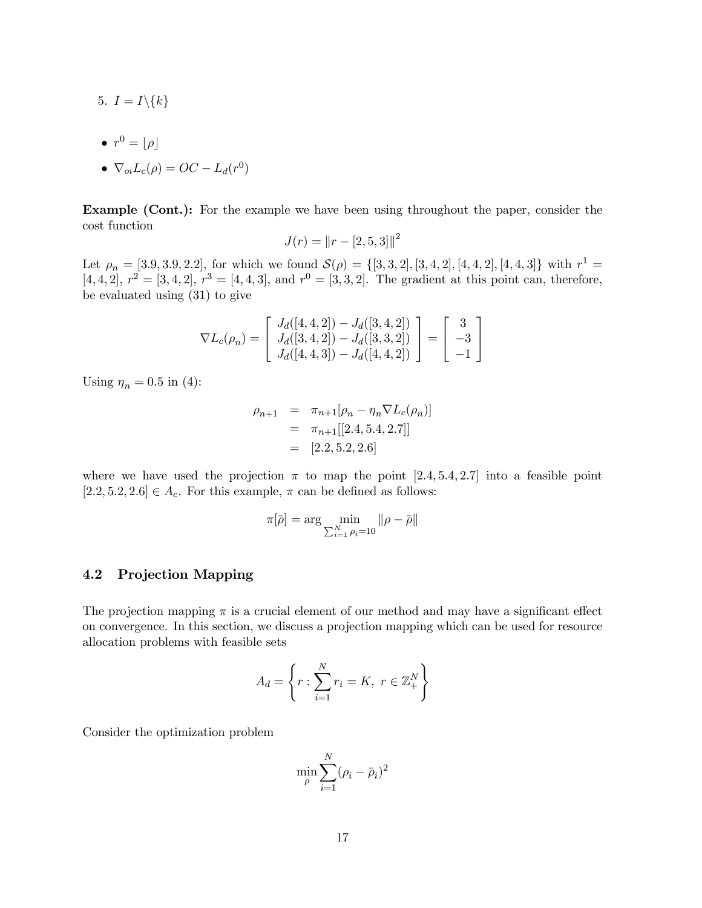- 5.  $I = I \setminus \{k\}$
- $\bullet$   $r^0 = \lfloor \rho \rfloor$

$$
\bullet \ \nabla_{oi} L_c(\rho) = OC - L_d(r^0)
$$

Example (Cont.): For the example we have been using throughout the paper, consider the cost function

$$
J(r) = ||r - [2, 5, 3]||^2
$$

Let  $\rho_n = [3.9, 3.9, 2.2]$ , for which we found  $\mathcal{S}(\rho) = \{[3, 3, 2], [3, 4, 2], [4, 4, 2], [4, 4, 3]\}$  with  $r^1 =$  $[4, 4, 2], r^2 = [3, 4, 2], r^3 = [4, 4, 3],$  and  $r^0 = [3, 3, 2].$  The gradient at this point can, therefore, be evaluated using (31) to give

$$
\nabla L_c(\rho_n) = \begin{bmatrix} J_d([4,4,2]) - J_d([3,4,2]) \\ J_d([3,4,2]) - J_d([3,3,2]) \\ J_d([4,4,3]) - J_d([4,4,2]) \end{bmatrix} = \begin{bmatrix} 3 \\ -3 \\ -1 \end{bmatrix}
$$

Using  $\eta_n = 0.5$  in (4):

$$
\rho_{n+1} = \pi_{n+1}[\rho_n - \eta_n \nabla L_c(\rho_n)]
$$
  
=  $\pi_{n+1}[[2.4, 5.4, 2.7]]$   
= [2.2, 5.2, 2.6]

where we have used the projection  $\pi$  to map the point [2.4, 5.4, 2.7] into a feasible point  $[2.2, 5.2, 2.6] \in A_c$ . For this example,  $\pi$  can be defined as follows:

$$
\pi[\bar{\rho}] = \arg \min_{\sum_{i=1}^{N} \rho_i = 10} ||\rho - \bar{\rho}||
$$

#### 4.2 Projection Mapping

The projection mapping  $\pi$  is a crucial element of our method and may have a significant effect on convergence. In this section, we discuss a projection mapping which can be used for resource allocation problems with feasible sets

$$
A_d = \left\{ r : \sum_{i=1}^{N} r_i = K, \ r \in \mathbb{Z}_+^N \right\}
$$

Consider the optimization problem

$$
\min_{\rho} \sum_{i=1}^{N} (\rho_i - \bar{\rho}_i)^2
$$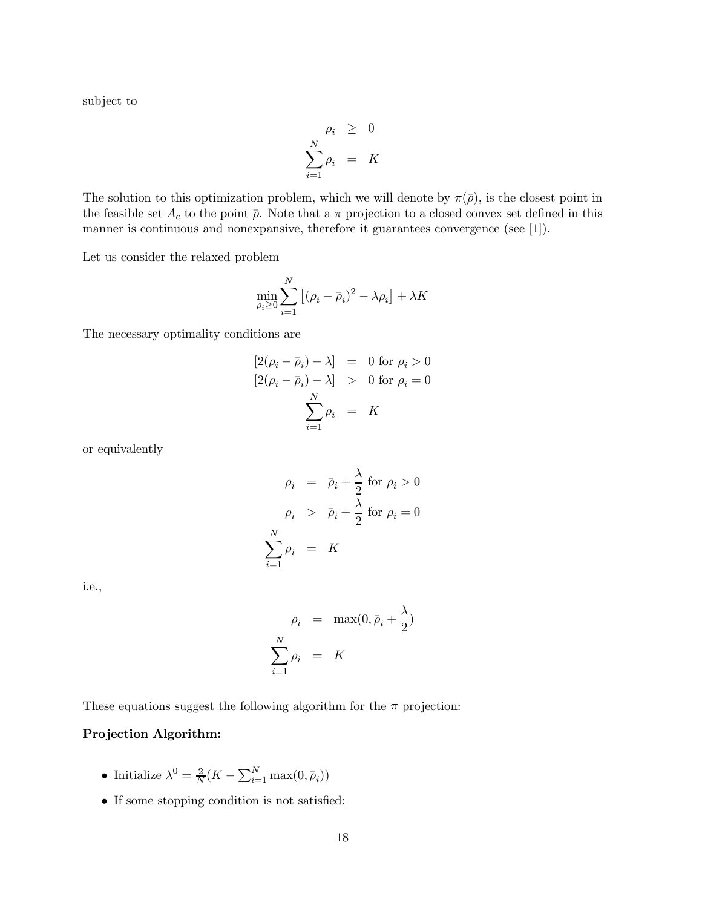subject to

$$
\rho_i \geq 0
$$
  

$$
\sum_{i=1}^N \rho_i = K
$$

The solution to this optimization problem, which we will denote by  $\pi(\bar{\rho})$ , is the closest point in the feasible set  $A_c$  to the point  $\bar{\rho}$ . Note that a  $\pi$  projection to a closed convex set defined in this manner is continuous and nonexpansive, therefore it guarantees convergence (see [1]).

Let us consider the relaxed problem

$$
\min_{\rho_i \ge 0} \sum_{i=1}^N \left[ (\rho_i - \bar{\rho}_i)^2 - \lambda \rho_i \right] + \lambda K
$$

The necessary optimality conditions are

$$
[2(\rho_i - \bar{\rho}_i) - \lambda] = 0 \text{ for } \rho_i > 0
$$
  

$$
[2(\rho_i - \bar{\rho}_i) - \lambda] > 0 \text{ for } \rho_i = 0
$$
  

$$
\sum_{i=1}^{N} \rho_i = K
$$

or equivalently

$$
\rho_i = \bar{\rho}_i + \frac{\lambda}{2} \text{ for } \rho_i > 0
$$

$$
\rho_i > \bar{\rho}_i + \frac{\lambda}{2} \text{ for } \rho_i = 0
$$

$$
\sum_{i=1}^N \rho_i = K
$$

i.e.,

$$
\rho_i = \max(0, \bar{\rho}_i + \frac{\lambda}{2})
$$

$$
\sum_{i=1}^{N} \rho_i = K
$$

These equations suggest the following algorithm for the  $\pi$  projection:

#### Projection Algorithm:

- Initialize  $\lambda^0 = \frac{2}{N}(K \sum_{i=1}^N \max(0, \bar{\rho}_i))$
- If some stopping condition is not satisfied: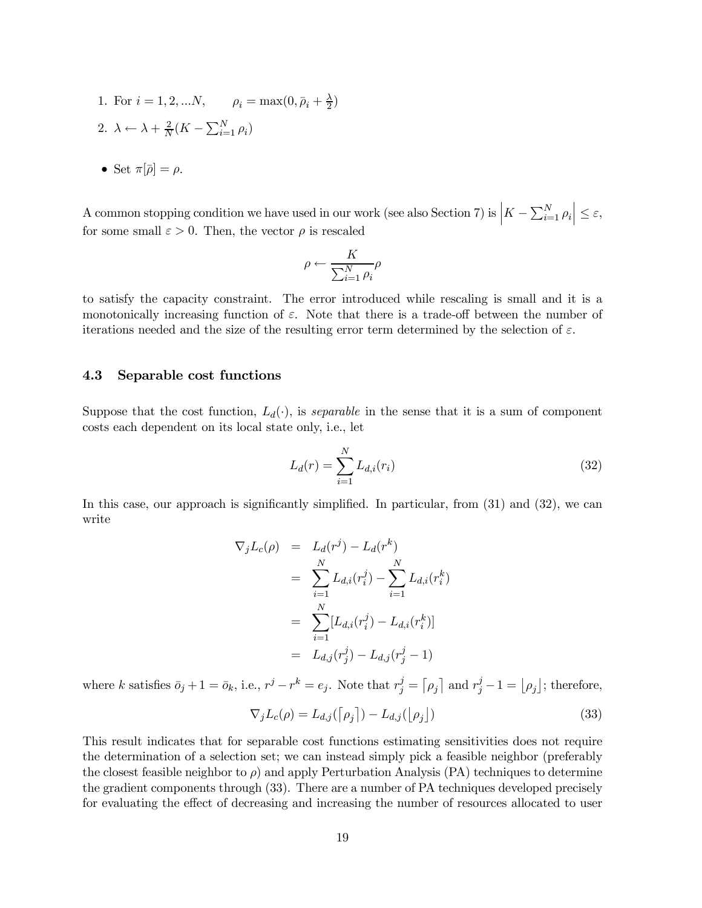1. For  $i = 1, 2, ...N$ ,  $\rho_i = \max(0, \bar{\rho}_i + \frac{\lambda}{2})$ 2.  $\lambda \leftarrow \lambda + \frac{2}{N}(K - \sum_{i=1}^{N} \rho_i)$ 

• Set 
$$
\pi[\overline{\rho}] = \rho
$$
.

A common stopping condition we have used in our work (see also Section 7) is  $\left| K - \sum_{i=1}^{N} \rho_i \right| \leq \varepsilon$ , for some small  $\varepsilon > 0$ . Then, the vector  $\rho$  is rescaled

$$
\rho \leftarrow \frac{K}{\sum_{i=1}^N \rho_i} \rho
$$

to satisfy the capacity constraint. The error introduced while rescaling is small and it is a monotonically increasing function of  $\varepsilon$ . Note that there is a trade-off between the number of iterations needed and the size of the resulting error term determined by the selection of  $\varepsilon$ .

#### 4.3 Separable cost functions

Suppose that the cost function,  $L_d(\cdot)$ , is *separable* in the sense that it is a sum of component costs each dependent on its local state only, i.e., let

$$
L_d(r) = \sum_{i=1}^{N} L_{d,i}(r_i)
$$
\n(32)

In this case, our approach is significantly simplified. In particular, from  $(31)$  and  $(32)$ , we can write

$$
\nabla_j L_c(\rho) = L_d(r^j) - L_d(r^k)
$$
  
= 
$$
\sum_{i=1}^N L_{d,i}(r_i^j) - \sum_{i=1}^N L_{d,i}(r_i^k)
$$
  
= 
$$
\sum_{i=1}^N [L_{d,i}(r_i^j) - L_{d,i}(r_i^k)]
$$
  
= 
$$
L_{d,j}(r_j^j) - L_{d,j}(r_j^j - 1)
$$

where k satisfies  $\bar{o}_j + 1 = \bar{o}_k$ , i.e.,  $r^j - r^k = e_j$ . Note that  $r_j^j = \lceil \rho_j \rceil$  and  $r_j^j - 1 = \lfloor \rho_j \rfloor$ ; therefore,

$$
\nabla_j L_c(\rho) = L_{d,j}(\lceil \rho_j \rceil) - L_{d,j}(\lfloor \rho_j \rfloor)
$$
\n(33)

This result indicates that for separable cost functions estimating sensitivities does not require the determination of a selection set; we can instead simply pick a feasible neighbor (preferably the closest feasible neighbor to  $\rho$ ) and apply Perturbation Analysis (PA) techniques to determine the gradient components through (33). There are a number of PA techniques developed precisely for evaluating the effect of decreasing and increasing the number of resources allocated to user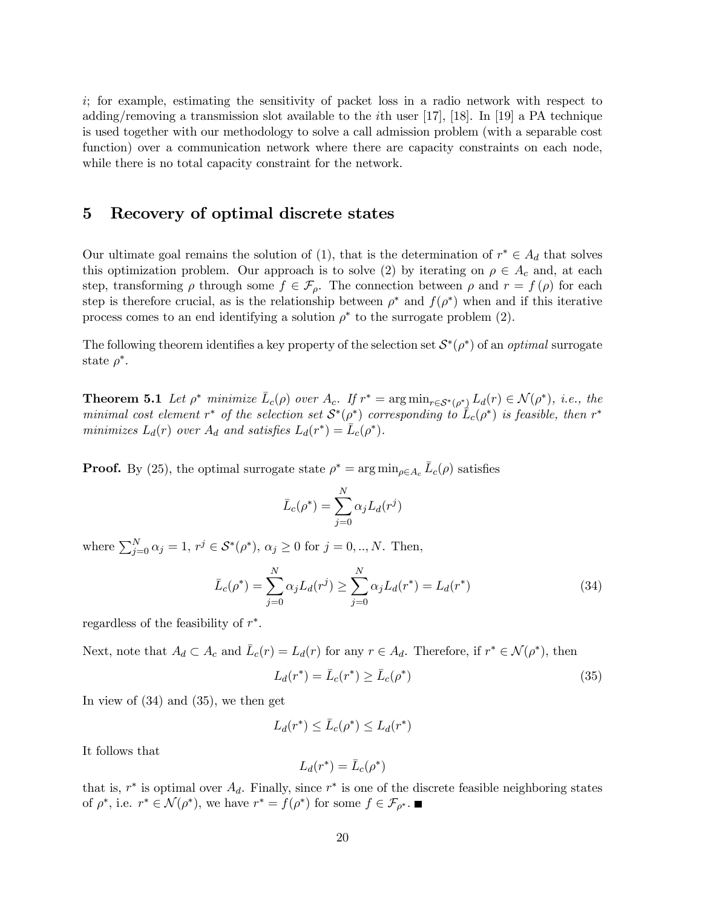i; for example, estimating the sensitivity of packet loss in a radio network with respect to adding/removing a transmission slot available to the *i*th user [17], [18]. In [19] a PA technique is used together with our methodology to solve a call admission problem (with a separable cost function) over a communication network where there are capacity constraints on each node, while there is no total capacity constraint for the network.

### 5 Recovery of optimal discrete states

Our ultimate goal remains the solution of (1), that is the determination of  $r^* \in A_d$  that solves this optimization problem. Our approach is to solve (2) by iterating on  $\rho \in A_c$  and, at each step, transforming  $\rho$  through some  $f \in \mathcal{F}_{\rho}$ . The connection between  $\rho$  and  $r = f(\rho)$  for each step is therefore crucial, as is the relationship between  $\rho^*$  and  $f(\rho^*)$  when and if this iterative process comes to an end identifying a solution  $\rho^*$  to the surrogate problem (2).

The following theorem identifies a key property of the selection set  $S^*(\rho^*)$  of an *optimal* surrogate state  $\rho^*$ .

**Theorem 5.1** Let  $\rho^*$  minimize  $L_c(\rho)$  over  $A_c$ . If  $r^* = \arg \min_{r \in S^*(\rho^*)} L_d(r) \in \mathcal{N}(\rho^*)$ , i.e., the minimal cost element  $r^*$  of the selection set  $S^*(\rho^*)$  corresponding to  $L_c(\rho^*)$  is feasible, then  $r^*$ minimizes  $L_d(r)$  over  $A_d$  and satisfies  $L_d(r^*) = \bar{L}_c(\rho^*)$ .

**Proof.** By (25), the optimal surrogate state  $\rho^* = \arg \min_{\rho \in A_c} \bar{L}_c(\rho)$  satisfies

$$
\bar{L}_c(\rho^*) = \sum_{j=0}^N \alpha_j L_d(r^j)
$$

where  $\sum_{j=0}^{N} \alpha_j = 1, r^j \in S^*(\rho^*), \alpha_j \ge 0$  for  $j = 0, ..., N$ . Then,

$$
\bar{L}_c(\rho^*) = \sum_{j=0}^N \alpha_j L_d(r^j) \ge \sum_{j=0}^N \alpha_j L_d(r^*) = L_d(r^*)
$$
\n(34)

regardless of the feasibility of  $r^*$ .

Next, note that  $A_d \subset A_c$  and  $\bar{L}_c(r) = L_d(r)$  for any  $r \in A_d$ . Therefore, if  $r^* \in \mathcal{N}(\rho^*)$ , then

$$
L_d(r^*) = \bar{L}_c(r^*) \ge \bar{L}_c(\rho^*)
$$
\n(35)

In view of (34) and (35), we then get

$$
L_d(r^*) \le \bar{L}_c(\rho^*) \le L_d(r^*)
$$

It follows that

$$
L_d(r^*) = \bar{L}_c(\rho^*)
$$

that is,  $r^*$  is optimal over  $A_d$ . Finally, since  $r^*$  is one of the discrete feasible neighboring states of  $\rho^*$ , i.e.  $r^* \in \mathcal{N}(\rho^*)$ , we have  $r^* = f(\rho^*)$  for some  $f \in \mathcal{F}_{\rho^*}$ .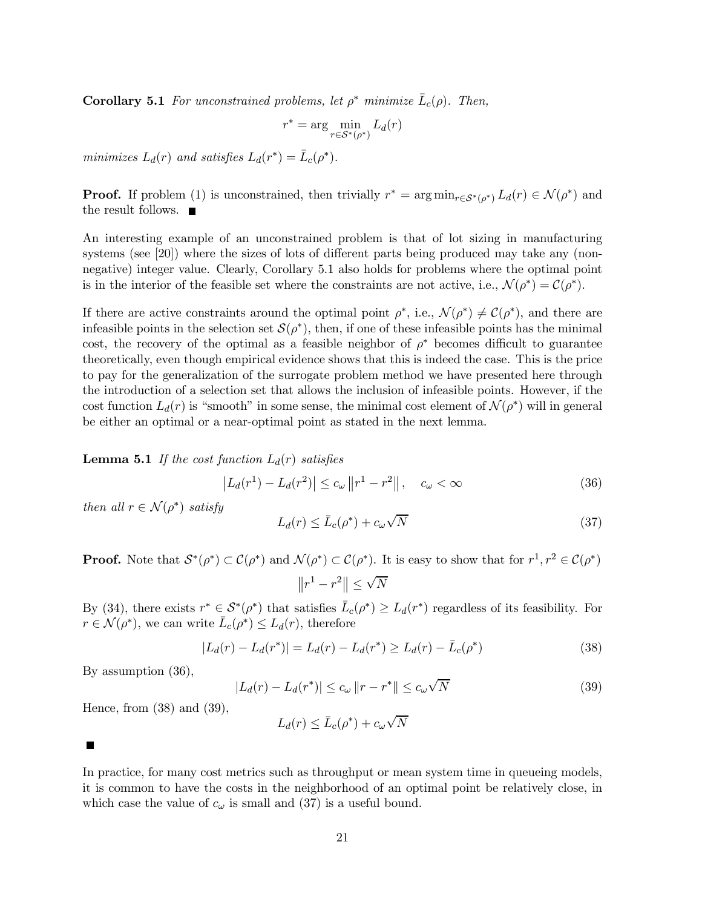**Corollary 5.1** For unconstrained problems, let  $\rho^*$  minimize  $\bar{L}_c(\rho)$ . Then,

$$
r^* = \arg\min_{r \in \mathcal{S}^*(\rho^*)} L_d(r)
$$

minimizes  $L_d(r)$  and satisfies  $L_d(r^*) = \bar{L}_c(\rho^*)$ .

**Proof.** If problem (1) is unconstrained, then trivially  $r^* = \arg \min_{r \in S^*(\rho^*)} L_d(r) \in \mathcal{N}(\rho^*)$  and the result follows.  $\blacksquare$ 

An interesting example of an unconstrained problem is that of lot sizing in manufacturing systems (see  $[20]$ ) where the sizes of lots of different parts being produced may take any (nonnegative) integer value. Clearly, Corollary 5.1 also holds for problems where the optimal point is in the interior of the feasible set where the constraints are not active, i.e.,  $\mathcal{N}(\rho^*) = \mathcal{C}(\rho^*)$ .

If there are active constraints around the optimal point  $\rho^*$ , i.e.,  $\mathcal{N}(\rho^*) \neq \mathcal{C}(\rho^*)$ , and there are infeasible points in the selection set  $\mathcal{S}(\rho^*)$ , then, if one of these infeasible points has the minimal cost, the recovery of the optimal as a feasible neighbor of  $\rho^*$  becomes difficult to guarantee theoretically, even though empirical evidence shows that this is indeed the case. This is the price to pay for the generalization of the surrogate problem method we have presented here through the introduction of a selection set that allows the inclusion of infeasible points. However, if the cost function  $L_d(r)$  is "smooth" in some sense, the minimal cost element of  $\mathcal{N}(\rho^*)$  will in general be either an optimal or a near-optimal point as stated in the next lemma.

**Lemma 5.1** If the cost function  $L_d(r)$  satisfies

$$
\left| L_d(r^1) - L_d(r^2) \right| \le c_\omega \left\| r^1 - r^2 \right\|, \quad c_\omega < \infty \tag{36}
$$

then all  $r \in \mathcal{N}(\rho^*)$  satisfy

$$
L_d(r) \le \bar{L}_c(\rho^*) + c_\omega \sqrt{N} \tag{37}
$$

**Proof.** Note that  $S^*(\rho^*) \subset C(\rho^*)$  and  $\mathcal{N}(\rho^*) \subset C(\rho^*)$ . It is easy to show that for  $r^1, r^2 \in C(\rho^*)$  $||r^1 - r^2|| \leq \sqrt{N}$ 

By (34), there exists  $r^* \in \mathcal{S}^*(\rho^*)$  that satisfies  $\bar{L}_c(\rho^*) \ge L_d(r^*)$  regardless of its feasibility. For  $r \in \mathcal{N}(\rho^*)$ , we can write  $\bar{L}_c(\rho^*) \leq L_d(r)$ , therefore

$$
|L_d(r) - L_d(r^*)| = L_d(r) - L_d(r^*) \ge L_d(r) - \bar{L}_c(\rho^*)
$$
\n(38)

By assumption (36),

$$
|L_d(r) - L_d(r^*)| \le c_\omega \|r - r^*\| \le c_\omega \sqrt{N}
$$
\n(39)

Hence, from (38) and (39),

$$
L_d(r) \le \bar{L}_c(\rho^*) + c_\omega \sqrt{N}
$$

 $\blacksquare$ 

In practice, for many cost metrics such as throughput or mean system time in queueing models, it is common to have the costs in the neighborhood of an optimal point be relatively close, in which case the value of  $c_{\omega}$  is small and (37) is a useful bound.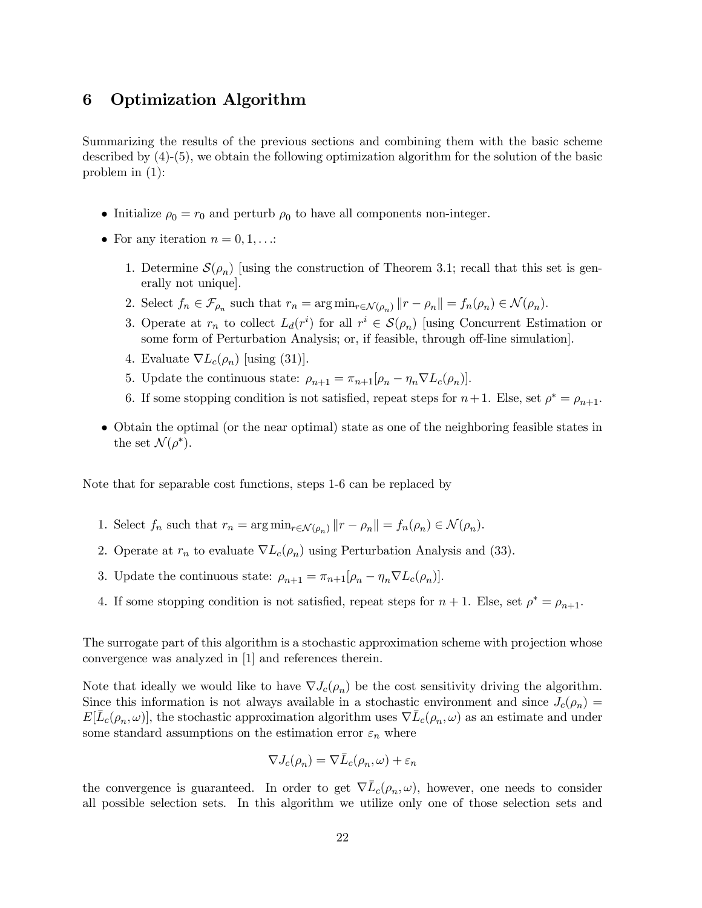# 6 Optimization Algorithm

Summarizing the results of the previous sections and combining them with the basic scheme described by (4)-(5), we obtain the following optimization algorithm for the solution of the basic problem in (1):

- Initialize  $\rho_0 = r_0$  and perturb  $\rho_0$  to have all components non-integer.
- For any iteration  $n = 0, 1, \ldots$ :
	- 1. Determine  $\mathcal{S}(\rho_n)$  [using the construction of Theorem 3.1; recall that this set is generally not unique].
	- 2. Select  $f_n \in \mathcal{F}_{\rho_n}$  such that  $r_n = \arg \min_{r \in \mathcal{N}(\rho_n)} ||r \rho_n|| = f_n(\rho_n) \in \mathcal{N}(\rho_n)$ .
	- 3. Operate at  $r_n$  to collect  $L_d(r^i)$  for all  $r^i \in \mathcal{S}(\rho_n)$  [using Concurrent Estimation or some form of Perturbation Analysis; or, if feasible, through off-line simulation.
	- 4. Evaluate  $\nabla L_c(\rho_n)$  [using (31)].
	- 5. Update the continuous state:  $\rho_{n+1} = \pi_{n+1}[\rho_n \eta_n \nabla L_c(\rho_n)].$
	- 6. If some stopping condition is not satisfied, repeat steps for  $n+1$ . Else, set  $\rho^* = \rho_{n+1}$ .
- Obtain the optimal (or the near optimal) state as one of the neighboring feasible states in the set  $\mathcal{N}(\rho^*).$

Note that for separable cost functions, steps 1-6 can be replaced by

- 1. Select  $f_n$  such that  $r_n = \arg \min_{r \in \mathcal{N}(\rho_n)} ||r \rho_n|| = f_n(\rho_n) \in \mathcal{N}(\rho_n)$ .
- 2. Operate at  $r_n$  to evaluate  $\nabla L_c(\rho_n)$  using Perturbation Analysis and (33).
- 3. Update the continuous state:  $\rho_{n+1} = \pi_{n+1}[\rho_n \eta_n \nabla L_c(\rho_n)]$ .
- 4. If some stopping condition is not satisfied, repeat steps for  $n + 1$ . Else, set  $\rho^* = \rho_{n+1}$ .

The surrogate part of this algorithm is a stochastic approximation scheme with projection whose convergence was analyzed in [1] and references therein.

Note that ideally we would like to have  $\nabla J_c(\rho_n)$  be the cost sensitivity driving the algorithm. Since this information is not always available in a stochastic environment and since  $J_c(\rho_n)$  =  $E[L_c(\rho_n,\omega)]$ , the stochastic approximation algorithm uses  $\nabla L_c(\rho_n,\omega)$  as an estimate and under some standard assumptions on the estimation error  $\varepsilon_n$  where

$$
\nabla J_c(\rho_n) = \nabla \bar{L}_c(\rho_n, \omega) + \varepsilon_n
$$

the convergence is guaranteed. In order to get  $\nabla \bar{L}_c(\rho_n, \omega)$ , however, one needs to consider all possible selection sets. In this algorithm we utilize only one of those selection sets and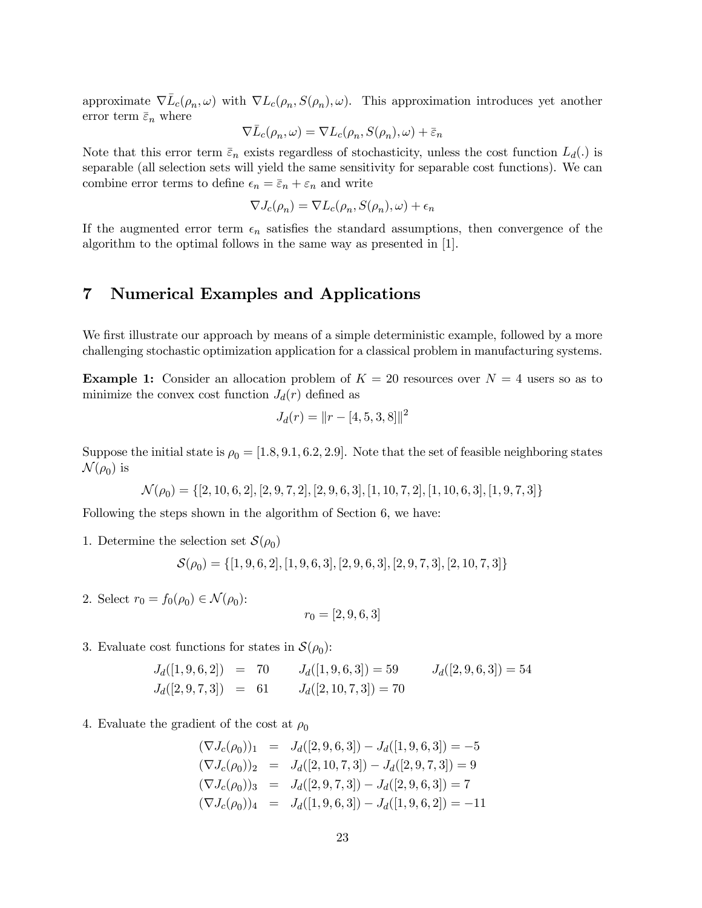approximate  $\nabla \bar{L}_c(\rho_n, \omega)$  with  $\nabla L_c(\rho_n, S(\rho_n), \omega)$ . This approximation introduces yet another error term  $\bar{\varepsilon}_n$  where

$$
\nabla \bar{L}_c(\rho_n, \omega) = \nabla L_c(\rho_n, S(\rho_n), \omega) + \bar{\varepsilon}_n
$$

Note that this error term  $\bar{\varepsilon}_n$  exists regardless of stochasticity, unless the cost function  $L_d(.)$  is separable (all selection sets will yield the same sensitivity for separable cost functions). We can combine error terms to define  $\epsilon_n = \bar{\epsilon}_n + \epsilon_n$  and write

$$
\nabla J_c(\rho_n) = \nabla L_c(\rho_n, S(\rho_n), \omega) + \epsilon_n
$$

If the augmented error term  $\epsilon_n$  satisfies the standard assumptions, then convergence of the algorithm to the optimal follows in the same way as presented in [1].

# 7 Numerical Examples and Applications

We first illustrate our approach by means of a simple deterministic example, followed by a more challenging stochastic optimization application for a classical problem in manufacturing systems.

**Example 1:** Consider an allocation problem of  $K = 20$  resources over  $N = 4$  users so as to minimize the convex cost function  $J_d(r)$  defined as

$$
J_d(r) = ||r - [4, 5, 3, 8]||^2
$$

Suppose the initial state is  $\rho_0 = [1.8, 9.1, 6.2, 2.9]$ . Note that the set of feasible neighboring states  $\mathcal{N}(\rho_0)$  is

$$
\mathcal{N}(\rho_0) = \{[2, 10, 6, 2], [2, 9, 7, 2], [2, 9, 6, 3], [1, 10, 7, 2], [1, 10, 6, 3], [1, 9, 7, 3]\}
$$

Following the steps shown in the algorithm of Section 6, we have:

1. Determine the selection set  $\mathcal{S}(\rho_0)$ 

 $\mathcal{S}(\rho_0) = \{[1, 9, 6, 2], [1, 9, 6, 3], [2, 9, 6, 3], [2, 9, 7, 3], [2, 10, 7, 3]\}$ 

2. Select  $r_0 = f_0(\rho_0) \in \mathcal{N}(\rho_0)$ :

$$
r_0 = [2, 9, 6, 3]
$$

#### 3. Evaluate cost functions for states in  $\mathcal{S}(\rho_0)$ :

$$
J_d([1, 9, 6, 2]) = 70
$$
  
\n
$$
J_d([1, 9, 6, 3]) = 59
$$
  
\n
$$
J_d([2, 9, 6, 3]) = 54
$$
  
\n
$$
J_d([2, 9, 6, 3]) = 54
$$

4. Evaluate the gradient of the cost at  $\rho_0$ 

$$
(\nabla J_c(\rho_0))_1 = J_d([2, 9, 6, 3]) - J_d([1, 9, 6, 3]) = -5
$$
  
\n
$$
(\nabla J_c(\rho_0))_2 = J_d([2, 10, 7, 3]) - J_d([2, 9, 7, 3]) = 9
$$
  
\n
$$
(\nabla J_c(\rho_0))_3 = J_d([2, 9, 7, 3]) - J_d([2, 9, 6, 3]) = 7
$$
  
\n
$$
(\nabla J_c(\rho_0))_4 = J_d([1, 9, 6, 3]) - J_d([1, 9, 6, 2]) = -11
$$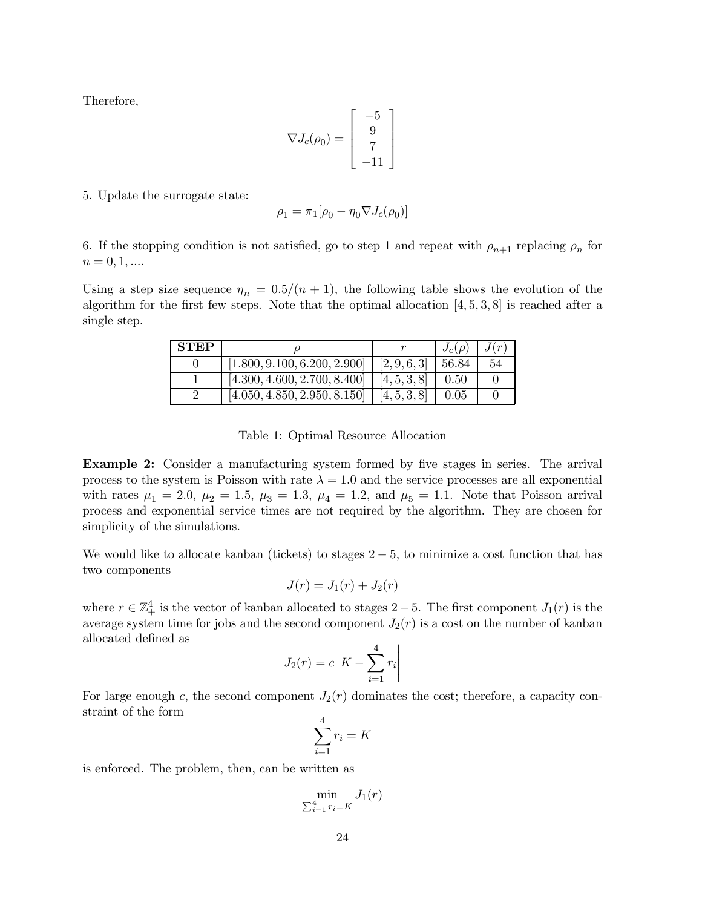Therefore,

$$
\nabla J_c(\rho_0) = \left[ \begin{array}{c} -5 \\ 9 \\ 7 \\ -11 \end{array} \right]
$$

5. Update the surrogate state:

$$
\rho_1 = \pi_1[\rho_0 - \eta_0 \nabla J_c(\rho_0)]
$$

6. If the stopping condition is not satisfied, go to step 1 and repeat with  $\rho_{n+1}$  replacing  $\rho_n$  for  $n = 0, 1, \dots$ 

Using a step size sequence  $\eta_n = 0.5/(n + 1)$ , the following table shows the evolution of the algorithm for the first few steps. Note that the optimal allocation  $[4, 5, 3, 8]$  is reached after a single step.

| <b>STEP</b> |                                             |              | $J_c(\rho)$ | J(r |
|-------------|---------------------------------------------|--------------|-------------|-----|
|             | $[1.800, 9.100, 6.200, 2.900]$ [2, 9, 6, 3] |              | 56.84       | 54  |
|             | [4.300, 4.600, 2.700, 8.400]                | [4, 5, 3, 8] | 0.50        |     |
|             | [4.050, 4.850, 2.950, 8.150]                | [4, 5, 3, 8] | 0.05        |     |

Table 1: Optimal Resource Allocation

**Example 2:** Consider a manufacturing system formed by five stages in series. The arrival process to the system is Poisson with rate  $\lambda = 1.0$  and the service processes are all exponential with rates  $\mu_1 = 2.0, \mu_2 = 1.5, \mu_3 = 1.3, \mu_4 = 1.2, \text{ and } \mu_5 = 1.1.$  Note that Poisson arrival process and exponential service times are not required by the algorithm. They are chosen for simplicity of the simulations.

We would like to allocate kanban (tickets) to stages  $2-5$ , to minimize a cost function that has two components

$$
J(r) = J_1(r) + J_2(r)
$$

where  $r \in \mathbb{Z}_+^4$  is the vector of kanban allocated to stages  $2-5$ . The first component  $J_1(r)$  is the average system time for jobs and the second component  $J_2(r)$  is a cost on the number of kanban allocated defined as

$$
J_2(r) = c \left| K - \sum_{i=1}^{4} r_i \right|
$$

For large enough c, the second component  $J_2(r)$  dominates the cost; therefore, a capacity constraint of the form

$$
\sum_{i=1}^{4} r_i = K
$$

is enforced. The problem, then, can be written as

$$
\min_{\sum_{i=1}^{4} r_i = K} J_1(r)
$$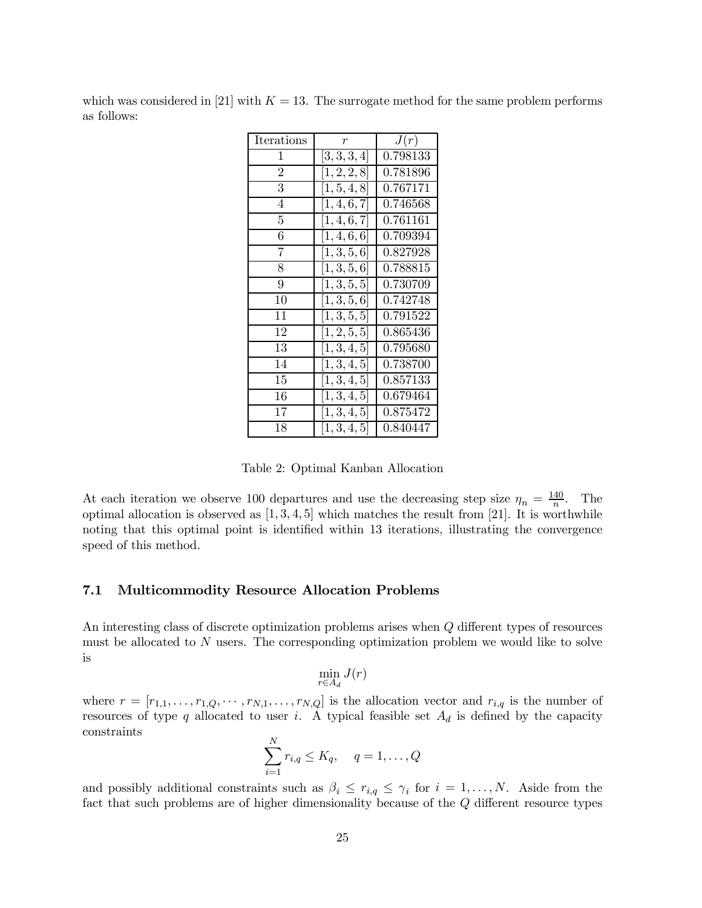which was considered in [21] with  $K = 13$ . The surrogate method for the same problem performs as follows:

| Iterations     | $\boldsymbol{r}$       | J(r)     |
|----------------|------------------------|----------|
| 1              | [3, 3, 3, 4]           | 0.798133 |
| $\overline{2}$ | [1, 2, 2, 8]           | 0.781896 |
| $\overline{3}$ | [1, 5, 4, 8]           | 0.767171 |
| $\overline{4}$ | [1, 4, 6, 7]           | 0.746568 |
| 5              | [1, 4, 6, 7]           | 0.761161 |
| 6              | [1, 4, 6, 6]           | 0.709394 |
| 7              | [1, 3, 5, 6]           | 0.827928 |
| 8              | [1,3,5,6]              | 0.788815 |
| 9              | $\overline{[1,3,5,5]}$ | 0.730709 |
| 10             | [1, 3, 5, 6]           | 0.742748 |
| 11             | [1, 3, 5, 5]           | 0.791522 |
| 12             | [1, 2, 5, 5]           | 0.865436 |
| 13             | [1, 3, 4, 5]           | 0.795680 |
| 14             | [1, 3, 4, 5]           | 0.738700 |
| 15             | [1, 3, 4, 5]           | 0.857133 |
| 16             | [1, 3, 4, 5]           | 0.679464 |
| 17             | [1, 3, 4, 5]           | 0.875472 |
| 18             | [1, 3, 4, 5]           | 0.840447 |

Table 2: Optimal Kanban Allocation

At each iteration we observe 100 departures and use the decreasing step size  $\eta_n = \frac{140}{n}$ . The optimal allocation is observed as  $[1, 3, 4, 5]$  which matches the result from [21]. It is worthwhile noting that this optimal point is identified within 13 iterations, illustrating the convergence speed of this method.

#### 7.1 Multicommodity Resource Allocation Problems

An interesting class of discrete optimization problems arises when  $Q$  different types of resources must be allocated to  $N$  users. The corresponding optimization problem we would like to solve is

$$
\min_{r \in A_d} J(r)
$$

where  $r = [r_{1,1},\ldots,r_{1,Q},\ldots,r_{N,1},\ldots,r_{N,Q}]$  is the allocation vector and  $r_{i,q}$  is the number of resources of type q allocated to user i. A typical feasible set  $A_d$  is defined by the capacity constraints

$$
\sum_{i=1}^{N} r_{i,q} \leq K_q, \quad q = 1, \dots, Q
$$

and possibly additional constraints such as  $\beta_i \leq r_{i,q} \leq \gamma_i$  for  $i = 1,\ldots,N$ . Aside from the fact that such problems are of higher dimensionality because of the  $Q$  different resource types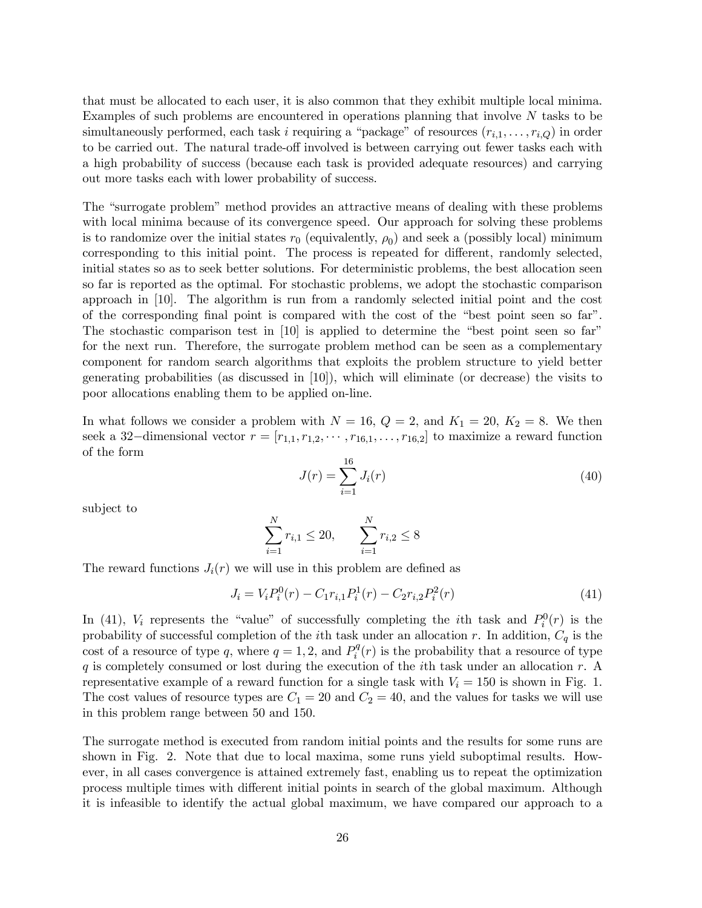that must be allocated to each user, it is also common that they exhibit multiple local minima. Examples of such problems are encountered in operations planning that involve N tasks to be simultaneously performed, each task i requiring a "package" of resources  $(r_{i,1},...,r_{i,Q})$  in order to be carried out. The natural trade-off involved is between carrying out fewer tasks each with a high probability of success (because each task is provided adequate resources) and carrying out more tasks each with lower probability of success.

The "surrogate problem" method provides an attractive means of dealing with these problems with local minima because of its convergence speed. Our approach for solving these problems is to randomize over the initial states  $r_0$  (equivalently,  $\rho_0$ ) and seek a (possibly local) minimum corresponding to this initial point. The process is repeated for different, randomly selected, initial states so as to seek better solutions. For deterministic problems, the best allocation seen so far is reported as the optimal. For stochastic problems, we adopt the stochastic comparison approach in [10]. The algorithm is run from a randomly selected initial point and the cost of the corresponding final point is compared with the cost of the "best point seen so far". The stochastic comparison test in [10] is applied to determine the "best point seen so far" for the next run. Therefore, the surrogate problem method can be seen as a complementary component for random search algorithms that exploits the problem structure to yield better generating probabilities (as discussed in [10]), which will eliminate (or decrease) the visits to poor allocations enabling them to be applied on-line.

In what follows we consider a problem with  $N = 16$ ,  $Q = 2$ , and  $K_1 = 20$ ,  $K_2 = 8$ . We then seek a 32-dimensional vector  $r = [r_{1,1}, r_{1,2}, \cdots, r_{16,1}, \ldots, r_{16,2}]$  to maximize a reward function of the form

$$
J(r) = \sum_{i=1}^{16} J_i(r) \tag{40}
$$

subject to

$$
\sum_{i=1}^{N} r_{i,1} \le 20, \qquad \sum_{i=1}^{N} r_{i,2} \le 8
$$

The reward functions  $J_i(r)$  we will use in this problem are defined as

$$
J_i = V_i P_i^0(r) - C_1 r_{i,1} P_i^1(r) - C_2 r_{i,2} P_i^2(r)
$$
\n(41)

In (41),  $V_i$  represents the "value" of successfully completing the *i*<sup>th</sup> task and  $P_i^0(r)$  is the probability of successful completion of the *i*th task under an allocation r. In addition,  $C_q$  is the cost of a resource of type q, where  $q = 1, 2$ , and  $P_i^q(r)$  is the probability that a resource of type q is completely consumed or lost during the execution of the *i*th task under an allocation  $r$ . A representative example of a reward function for a single task with  $V_i = 150$  is shown in Fig. 1. The cost values of resource types are  $C_1 = 20$  and  $C_2 = 40$ , and the values for tasks we will use in this problem range between 50 and 150.

The surrogate method is executed from random initial points and the results for some runs are shown in Fig. 2. Note that due to local maxima, some runs yield suboptimal results. However, in all cases convergence is attained extremely fast, enabling us to repeat the optimization process multiple times with different initial points in search of the global maximum. Although it is infeasible to identify the actual global maximum, we have compared our approach to a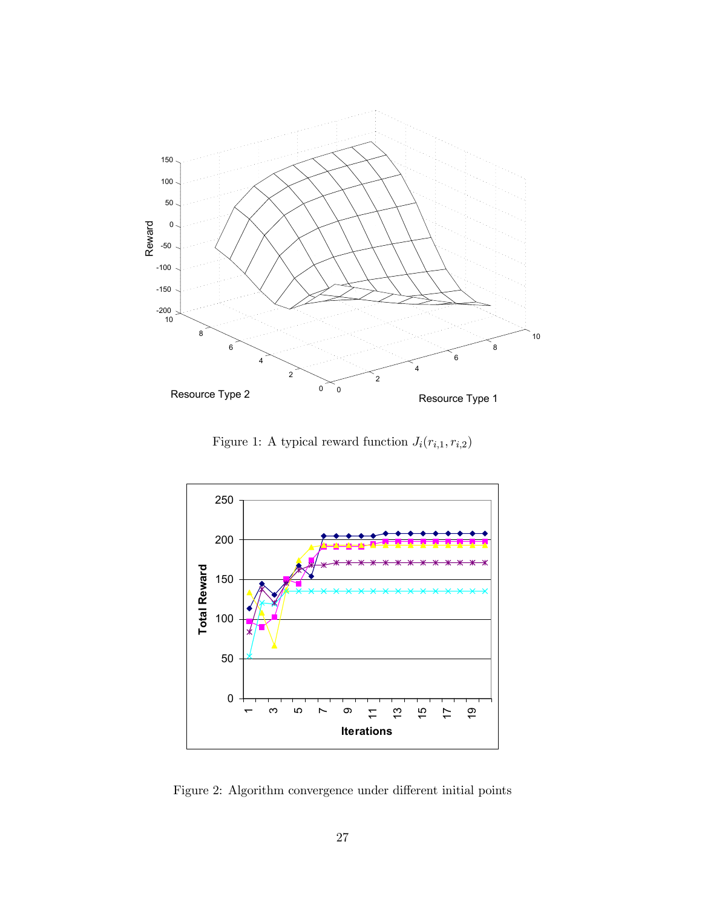

Figure 1: A typical reward function  $J_i(r_{i,1}, r_{i,2})$ 



Figure 2: Algorithm convergence under different initial points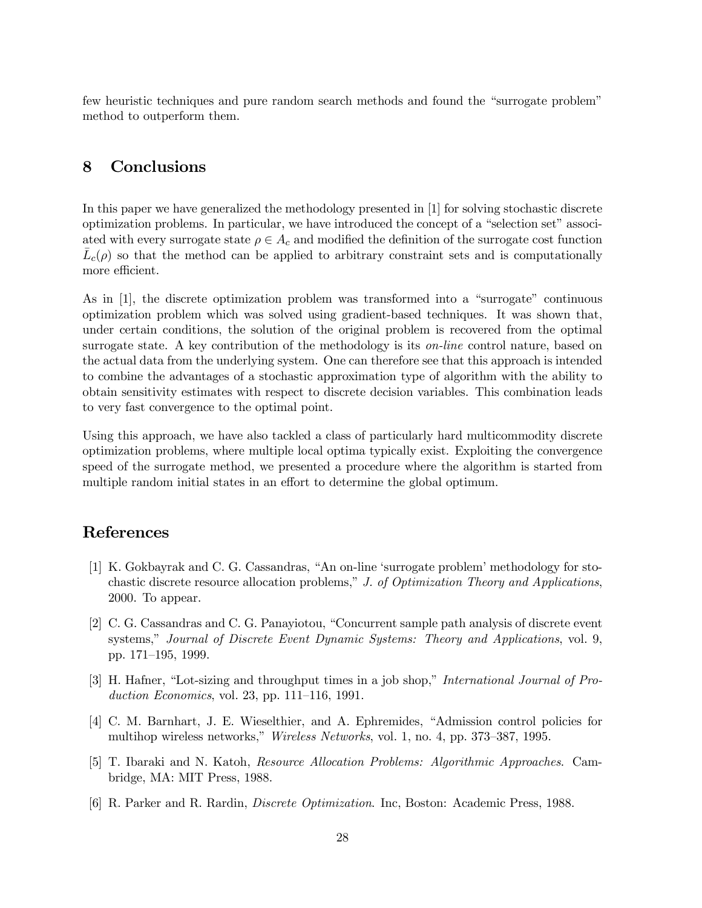few heuristic techniques and pure random search methods and found the "surrogate problem" method to outperform them.

# 8 Conclusions

In this paper we have generalized the methodology presented in [1] for solving stochastic discrete optimization problems. In particular, we have introduced the concept of a "selection set" associated with every surrogate state  $\rho \in A_c$  and modified the definition of the surrogate cost function  $\bar{L}_c(\rho)$  so that the method can be applied to arbitrary constraint sets and is computationally more efficient.

As in [1], the discrete optimization problem was transformed into a "surrogate" continuous optimization problem which was solved using gradient-based techniques. It was shown that, under certain conditions, the solution of the original problem is recovered from the optimal surrogate state. A key contribution of the methodology is its  $\omega$ -line control nature, based on the actual data from the underlying system. One can therefore see that this approach is intended to combine the advantages of a stochastic approximation type of algorithm with the ability to obtain sensitivity estimates with respect to discrete decision variables. This combination leads to very fast convergence to the optimal point.

Using this approach, we have also tackled a class of particularly hard multicommodity discrete optimization problems, where multiple local optima typically exist. Exploiting the convergence speed of the surrogate method, we presented a procedure where the algorithm is started from multiple random initial states in an effort to determine the global optimum.

### References

- [1] K. Gokbayrak and C. G. Cassandras, "An on-line 'surrogate problem' methodology for stochastic discrete resource allocation problems," J. of Optimization Theory and Applications, 2000. To appear.
- [2] C. G. Cassandras and C. G. Panayiotou, "Concurrent sample path analysis of discrete event systems," Journal of Discrete Event Dynamic Systems: Theory and Applications, vol. 9, pp. 171–195, 1999.
- [3] H. Hafner, "Lot-sizing and throughput times in a job shop," International Journal of Production Economics, vol. 23, pp. 111–116, 1991.
- [4] C. M. Barnhart, J. E. Wieselthier, and A. Ephremides, "Admission control policies for multihop wireless networks," Wireless Networks, vol. 1, no. 4, pp. 373–387, 1995.
- [5] T. Ibaraki and N. Katoh, Resource Allocation Problems: Algorithmic Approaches. Cambridge, MA: MIT Press, 1988.
- [6] R. Parker and R. Rardin, Discrete Optimization. Inc, Boston: Academic Press, 1988.